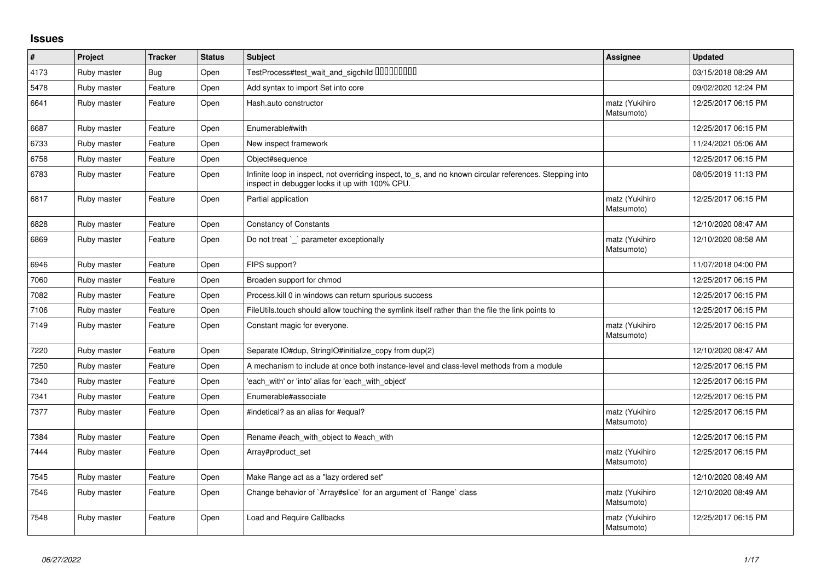## **Issues**

| $\vert$ # | Project     | <b>Tracker</b> | <b>Status</b> | <b>Subject</b>                                                                                                                                            | Assignee                     | <b>Updated</b>      |
|-----------|-------------|----------------|---------------|-----------------------------------------------------------------------------------------------------------------------------------------------------------|------------------------------|---------------------|
| 4173      | Ruby master | <b>Bug</b>     | Open          | TestProcess#test_wait_and_sigchild DDDDDDDD                                                                                                               |                              | 03/15/2018 08:29 AM |
| 5478      | Ruby master | Feature        | Open          | Add syntax to import Set into core                                                                                                                        |                              | 09/02/2020 12:24 PM |
| 6641      | Ruby master | Feature        | Open          | Hash.auto constructor                                                                                                                                     | matz (Yukihiro<br>Matsumoto) | 12/25/2017 06:15 PM |
| 6687      | Ruby master | Feature        | Open          | Enumerable#with                                                                                                                                           |                              | 12/25/2017 06:15 PM |
| 6733      | Ruby master | Feature        | Open          | New inspect framework                                                                                                                                     |                              | 11/24/2021 05:06 AM |
| 6758      | Ruby master | Feature        | Open          | Object#sequence                                                                                                                                           |                              | 12/25/2017 06:15 PM |
| 6783      | Ruby master | Feature        | Open          | Infinite loop in inspect, not overriding inspect, to_s, and no known circular references. Stepping into<br>inspect in debugger locks it up with 100% CPU. |                              | 08/05/2019 11:13 PM |
| 6817      | Ruby master | Feature        | Open          | Partial application                                                                                                                                       | matz (Yukihiro<br>Matsumoto) | 12/25/2017 06:15 PM |
| 6828      | Ruby master | Feature        | Open          | <b>Constancy of Constants</b>                                                                                                                             |                              | 12/10/2020 08:47 AM |
| 6869      | Ruby master | Feature        | Open          | Do not treat `_` parameter exceptionally                                                                                                                  | matz (Yukihiro<br>Matsumoto) | 12/10/2020 08:58 AM |
| 6946      | Ruby master | Feature        | Open          | FIPS support?                                                                                                                                             |                              | 11/07/2018 04:00 PM |
| 7060      | Ruby master | Feature        | Open          | Broaden support for chmod                                                                                                                                 |                              | 12/25/2017 06:15 PM |
| 7082      | Ruby master | Feature        | Open          | Process. kill 0 in windows can return spurious success                                                                                                    |                              | 12/25/2017 06:15 PM |
| 7106      | Ruby master | Feature        | Open          | FileUtils.touch should allow touching the symlink itself rather than the file the link points to                                                          |                              | 12/25/2017 06:15 PM |
| 7149      | Ruby master | Feature        | Open          | Constant magic for everyone.                                                                                                                              | matz (Yukihiro<br>Matsumoto) | 12/25/2017 06:15 PM |
| 7220      | Ruby master | Feature        | Open          | Separate IO#dup, StringIO#initialize_copy from dup(2)                                                                                                     |                              | 12/10/2020 08:47 AM |
| 7250      | Ruby master | Feature        | Open          | A mechanism to include at once both instance-level and class-level methods from a module                                                                  |                              | 12/25/2017 06:15 PM |
| 7340      | Ruby master | Feature        | Open          | 'each_with' or 'into' alias for 'each_with_object'                                                                                                        |                              | 12/25/2017 06:15 PM |
| 7341      | Ruby master | Feature        | Open          | Enumerable#associate                                                                                                                                      |                              | 12/25/2017 06:15 PM |
| 7377      | Ruby master | Feature        | Open          | #indetical? as an alias for #equal?                                                                                                                       | matz (Yukihiro<br>Matsumoto) | 12/25/2017 06:15 PM |
| 7384      | Ruby master | Feature        | Open          | Rename #each with object to #each with                                                                                                                    |                              | 12/25/2017 06:15 PM |
| 7444      | Ruby master | Feature        | Open          | Array#product set                                                                                                                                         | matz (Yukihiro<br>Matsumoto) | 12/25/2017 06:15 PM |
| 7545      | Ruby master | Feature        | Open          | Make Range act as a "lazy ordered set"                                                                                                                    |                              | 12/10/2020 08:49 AM |
| 7546      | Ruby master | Feature        | Open          | Change behavior of `Array#slice` for an argument of `Range` class                                                                                         | matz (Yukihiro<br>Matsumoto) | 12/10/2020 08:49 AM |
| 7548      | Ruby master | Feature        | Open          | Load and Require Callbacks                                                                                                                                | matz (Yukihiro<br>Matsumoto) | 12/25/2017 06:15 PM |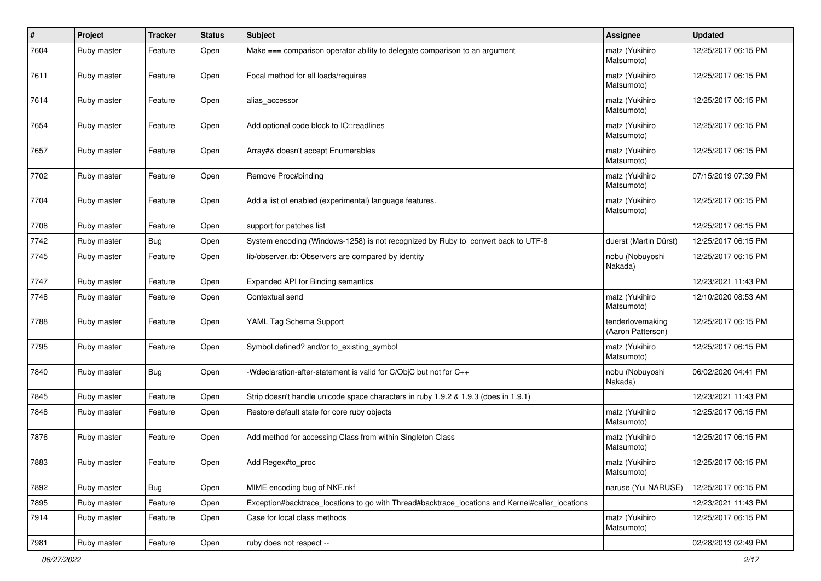| $\sharp$ | Project     | <b>Tracker</b> | <b>Status</b> | Subject                                                                                         | Assignee                              | <b>Updated</b>      |
|----------|-------------|----------------|---------------|-------------------------------------------------------------------------------------------------|---------------------------------------|---------------------|
| 7604     | Ruby master | Feature        | Open          | Make === comparison operator ability to delegate comparison to an argument                      | matz (Yukihiro<br>Matsumoto)          | 12/25/2017 06:15 PM |
| 7611     | Ruby master | Feature        | Open          | Focal method for all loads/requires                                                             | matz (Yukihiro<br>Matsumoto)          | 12/25/2017 06:15 PM |
| 7614     | Ruby master | Feature        | Open          | alias_accessor                                                                                  | matz (Yukihiro<br>Matsumoto)          | 12/25/2017 06:15 PM |
| 7654     | Ruby master | Feature        | Open          | Add optional code block to IO::readlines                                                        | matz (Yukihiro<br>Matsumoto)          | 12/25/2017 06:15 PM |
| 7657     | Ruby master | Feature        | Open          | Array#& doesn't accept Enumerables                                                              | matz (Yukihiro<br>Matsumoto)          | 12/25/2017 06:15 PM |
| 7702     | Ruby master | Feature        | Open          | Remove Proc#binding                                                                             | matz (Yukihiro<br>Matsumoto)          | 07/15/2019 07:39 PM |
| 7704     | Ruby master | Feature        | Open          | Add a list of enabled (experimental) language features.                                         | matz (Yukihiro<br>Matsumoto)          | 12/25/2017 06:15 PM |
| 7708     | Ruby master | Feature        | Open          | support for patches list                                                                        |                                       | 12/25/2017 06:15 PM |
| 7742     | Ruby master | Bug            | Open          | System encoding (Windows-1258) is not recognized by Ruby to convert back to UTF-8               | duerst (Martin Dürst)                 | 12/25/2017 06:15 PM |
| 7745     | Ruby master | Feature        | Open          | lib/observer.rb: Observers are compared by identity                                             | nobu (Nobuyoshi<br>Nakada)            | 12/25/2017 06:15 PM |
| 7747     | Ruby master | Feature        | Open          | Expanded API for Binding semantics                                                              |                                       | 12/23/2021 11:43 PM |
| 7748     | Ruby master | Feature        | Open          | Contextual send                                                                                 | matz (Yukihiro<br>Matsumoto)          | 12/10/2020 08:53 AM |
| 7788     | Ruby master | Feature        | Open          | YAML Tag Schema Support                                                                         | tenderlovemaking<br>(Aaron Patterson) | 12/25/2017 06:15 PM |
| 7795     | Ruby master | Feature        | Open          | Symbol.defined? and/or to_existing_symbol                                                       | matz (Yukihiro<br>Matsumoto)          | 12/25/2017 06:15 PM |
| 7840     | Ruby master | Bug            | Open          | -Wdeclaration-after-statement is valid for C/ObjC but not for C++                               | nobu (Nobuyoshi<br>Nakada)            | 06/02/2020 04:41 PM |
| 7845     | Ruby master | Feature        | Open          | Strip doesn't handle unicode space characters in ruby 1.9.2 & 1.9.3 (does in 1.9.1)             |                                       | 12/23/2021 11:43 PM |
| 7848     | Ruby master | Feature        | Open          | Restore default state for core ruby objects                                                     | matz (Yukihiro<br>Matsumoto)          | 12/25/2017 06:15 PM |
| 7876     | Ruby master | Feature        | Open          | Add method for accessing Class from within Singleton Class                                      | matz (Yukihiro<br>Matsumoto)          | 12/25/2017 06:15 PM |
| 7883     | Ruby master | Feature        | Open          | Add Regex#to_proc                                                                               | matz (Yukihiro<br>Matsumoto)          | 12/25/2017 06:15 PM |
| 7892     | Ruby master | Bug            | Open          | MIME encoding bug of NKF.nkf                                                                    | naruse (Yui NARUSE)                   | 12/25/2017 06:15 PM |
| 7895     | Ruby master | Feature        | Open          | Exception#backtrace_locations to go with Thread#backtrace_locations and Kernel#caller_locations |                                       | 12/23/2021 11:43 PM |
| 7914     | Ruby master | Feature        | Open          | Case for local class methods                                                                    | matz (Yukihiro<br>Matsumoto)          | 12/25/2017 06:15 PM |
| 7981     | Ruby master | Feature        | Open          | ruby does not respect --                                                                        |                                       | 02/28/2013 02:49 PM |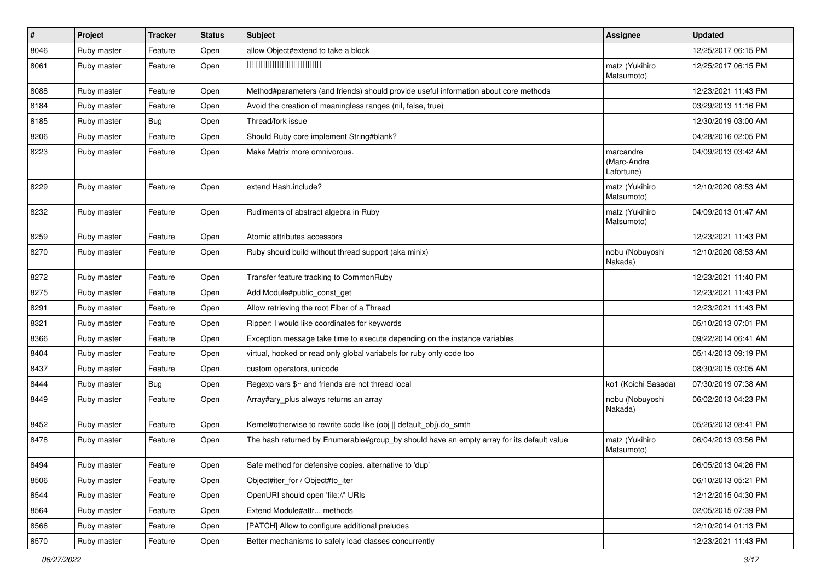| $\vert$ # | Project     | <b>Tracker</b> | <b>Status</b> | <b>Subject</b>                                                                            | <b>Assignee</b>                        | <b>Updated</b>      |
|-----------|-------------|----------------|---------------|-------------------------------------------------------------------------------------------|----------------------------------------|---------------------|
| 8046      | Ruby master | Feature        | Open          | allow Object#extend to take a block                                                       |                                        | 12/25/2017 06:15 PM |
| 8061      | Ruby master | Feature        | Open          | 000000000000000                                                                           | matz (Yukihiro<br>Matsumoto)           | 12/25/2017 06:15 PM |
| 8088      | Ruby master | Feature        | Open          | Method#parameters (and friends) should provide useful information about core methods      |                                        | 12/23/2021 11:43 PM |
| 8184      | Ruby master | Feature        | Open          | Avoid the creation of meaningless ranges (nil, false, true)                               |                                        | 03/29/2013 11:16 PM |
| 8185      | Ruby master | <b>Bug</b>     | Open          | Thread/fork issue                                                                         |                                        | 12/30/2019 03:00 AM |
| 8206      | Ruby master | Feature        | Open          | Should Ruby core implement String#blank?                                                  |                                        | 04/28/2016 02:05 PM |
| 8223      | Ruby master | Feature        | Open          | Make Matrix more omnivorous.                                                              | marcandre<br>(Marc-Andre<br>Lafortune) | 04/09/2013 03:42 AM |
| 8229      | Ruby master | Feature        | Open          | extend Hash.include?                                                                      | matz (Yukihiro<br>Matsumoto)           | 12/10/2020 08:53 AM |
| 8232      | Ruby master | Feature        | Open          | Rudiments of abstract algebra in Ruby                                                     | matz (Yukihiro<br>Matsumoto)           | 04/09/2013 01:47 AM |
| 8259      | Ruby master | Feature        | Open          | Atomic attributes accessors                                                               |                                        | 12/23/2021 11:43 PM |
| 8270      | Ruby master | Feature        | Open          | Ruby should build without thread support (aka minix)                                      | nobu (Nobuyoshi<br>Nakada)             | 12/10/2020 08:53 AM |
| 8272      | Ruby master | Feature        | Open          | Transfer feature tracking to CommonRuby                                                   |                                        | 12/23/2021 11:40 PM |
| 8275      | Ruby master | Feature        | Open          | Add Module#public_const_get                                                               |                                        | 12/23/2021 11:43 PM |
| 8291      | Ruby master | Feature        | Open          | Allow retrieving the root Fiber of a Thread                                               |                                        | 12/23/2021 11:43 PM |
| 8321      | Ruby master | Feature        | Open          | Ripper: I would like coordinates for keywords                                             |                                        | 05/10/2013 07:01 PM |
| 8366      | Ruby master | Feature        | Open          | Exception.message take time to execute depending on the instance variables                |                                        | 09/22/2014 06:41 AM |
| 8404      | Ruby master | Feature        | Open          | virtual, hooked or read only global variabels for ruby only code too                      |                                        | 05/14/2013 09:19 PM |
| 8437      | Ruby master | Feature        | Open          | custom operators, unicode                                                                 |                                        | 08/30/2015 03:05 AM |
| 8444      | Ruby master | Bug            | Open          | Regexp vars \$~ and friends are not thread local                                          | ko1 (Koichi Sasada)                    | 07/30/2019 07:38 AM |
| 8449      | Ruby master | Feature        | Open          | Array#ary_plus always returns an array                                                    | nobu (Nobuyoshi<br>Nakada)             | 06/02/2013 04:23 PM |
| 8452      | Ruby master | Feature        | Open          | Kernel#otherwise to rewrite code like (obj    default_obj).do_smth                        |                                        | 05/26/2013 08:41 PM |
| 8478      | Ruby master | Feature        | Open          | The hash returned by Enumerable#group by should have an empty array for its default value | matz (Yukihiro<br>Matsumoto)           | 06/04/2013 03:56 PM |
| 8494      | Ruby master | Feature        | Open          | Safe method for defensive copies. alternative to 'dup'                                    |                                        | 06/05/2013 04:26 PM |
| 8506      | Ruby master | Feature        | Open          | Object#iter for / Object#to iter                                                          |                                        | 06/10/2013 05:21 PM |
| 8544      | Ruby master | Feature        | Open          | OpenURI should open 'file://' URIs                                                        |                                        | 12/12/2015 04:30 PM |
| 8564      | Ruby master | Feature        | Open          | Extend Module#attr methods                                                                |                                        | 02/05/2015 07:39 PM |
| 8566      | Ruby master | Feature        | Open          | [PATCH] Allow to configure additional preludes                                            |                                        | 12/10/2014 01:13 PM |
| 8570      | Ruby master | Feature        | Open          | Better mechanisms to safely load classes concurrently                                     |                                        | 12/23/2021 11:43 PM |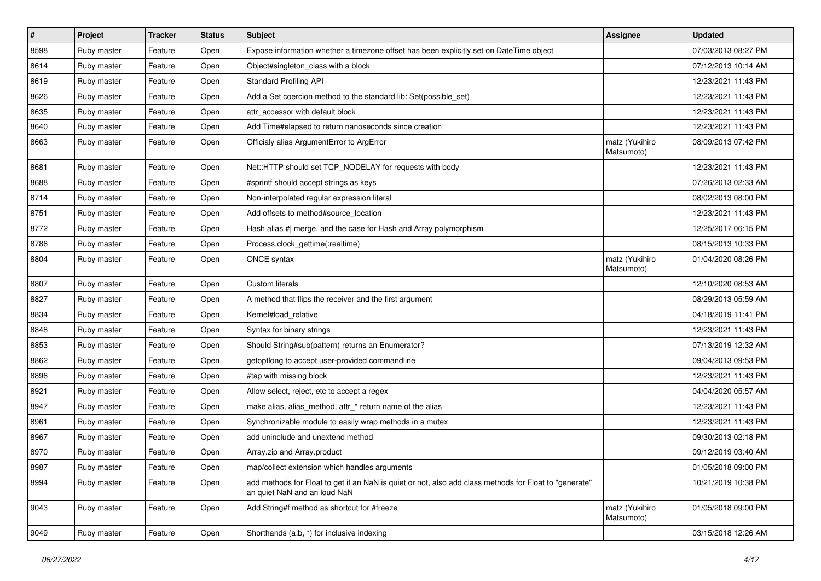| #    | Project     | <b>Tracker</b> | <b>Status</b> | <b>Subject</b>                                                                                                                         | Assignee                     | <b>Updated</b>      |
|------|-------------|----------------|---------------|----------------------------------------------------------------------------------------------------------------------------------------|------------------------------|---------------------|
| 8598 | Ruby master | Feature        | Open          | Expose information whether a timezone offset has been explicitly set on DateTime object                                                |                              | 07/03/2013 08:27 PM |
| 8614 | Ruby master | Feature        | Open          | Object#singleton_class with a block                                                                                                    |                              | 07/12/2013 10:14 AM |
| 8619 | Ruby master | Feature        | Open          | <b>Standard Profiling API</b>                                                                                                          |                              | 12/23/2021 11:43 PM |
| 8626 | Ruby master | Feature        | Open          | Add a Set coercion method to the standard lib: Set(possible_set)                                                                       |                              | 12/23/2021 11:43 PM |
| 8635 | Ruby master | Feature        | Open          | attr accessor with default block                                                                                                       |                              | 12/23/2021 11:43 PM |
| 8640 | Ruby master | Feature        | Open          | Add Time#elapsed to return nanoseconds since creation                                                                                  |                              | 12/23/2021 11:43 PM |
| 8663 | Ruby master | Feature        | Open          | Officialy alias ArgumentError to ArgError                                                                                              | matz (Yukihiro<br>Matsumoto) | 08/09/2013 07:42 PM |
| 8681 | Ruby master | Feature        | Open          | Net::HTTP should set TCP_NODELAY for requests with body                                                                                |                              | 12/23/2021 11:43 PM |
| 8688 | Ruby master | Feature        | Open          | #sprintf should accept strings as keys                                                                                                 |                              | 07/26/2013 02:33 AM |
| 8714 | Ruby master | Feature        | Open          | Non-interpolated regular expression literal                                                                                            |                              | 08/02/2013 08:00 PM |
| 8751 | Ruby master | Feature        | Open          | Add offsets to method#source_location                                                                                                  |                              | 12/23/2021 11:43 PM |
| 8772 | Ruby master | Feature        | Open          | Hash alias #  merge, and the case for Hash and Array polymorphism                                                                      |                              | 12/25/2017 06:15 PM |
| 8786 | Ruby master | Feature        | Open          | Process.clock_gettime(:realtime)                                                                                                       |                              | 08/15/2013 10:33 PM |
| 8804 | Ruby master | Feature        | Open          | ONCE syntax                                                                                                                            | matz (Yukihiro<br>Matsumoto) | 01/04/2020 08:26 PM |
| 8807 | Ruby master | Feature        | Open          | <b>Custom literals</b>                                                                                                                 |                              | 12/10/2020 08:53 AM |
| 8827 | Ruby master | Feature        | Open          | A method that flips the receiver and the first argument                                                                                |                              | 08/29/2013 05:59 AM |
| 8834 | Ruby master | Feature        | Open          | Kernel#load_relative                                                                                                                   |                              | 04/18/2019 11:41 PM |
| 8848 | Ruby master | Feature        | Open          | Syntax for binary strings                                                                                                              |                              | 12/23/2021 11:43 PM |
| 8853 | Ruby master | Feature        | Open          | Should String#sub(pattern) returns an Enumerator?                                                                                      |                              | 07/13/2019 12:32 AM |
| 8862 | Ruby master | Feature        | Open          | getoptlong to accept user-provided commandline                                                                                         |                              | 09/04/2013 09:53 PM |
| 8896 | Ruby master | Feature        | Open          | #tap with missing block                                                                                                                |                              | 12/23/2021 11:43 PM |
| 8921 | Ruby master | Feature        | Open          | Allow select, reject, etc to accept a regex                                                                                            |                              | 04/04/2020 05:57 AM |
| 8947 | Ruby master | Feature        | Open          | make alias, alias_method, attr_* return name of the alias                                                                              |                              | 12/23/2021 11:43 PM |
| 8961 | Ruby master | Feature        | Open          | Synchronizable module to easily wrap methods in a mutex                                                                                |                              | 12/23/2021 11:43 PM |
| 8967 | Ruby master | Feature        | Open          | add uninclude and unextend method                                                                                                      |                              | 09/30/2013 02:18 PM |
| 8970 | Ruby master | Feature        | Open          | Array.zip and Array.product                                                                                                            |                              | 09/12/2019 03:40 AM |
| 8987 | Ruby master | Feature        | Open          | map/collect extension which handles arguments                                                                                          |                              | 01/05/2018 09:00 PM |
| 8994 | Ruby master | Feature        | Open          | add methods for Float to get if an NaN is quiet or not, also add class methods for Float to "generate"<br>an quiet NaN and an loud NaN |                              | 10/21/2019 10:38 PM |
| 9043 | Ruby master | Feature        | Open          | Add String#f method as shortcut for #freeze                                                                                            | matz (Yukihiro<br>Matsumoto) | 01/05/2018 09:00 PM |
| 9049 | Ruby master | Feature        | Open          | Shorthands (a:b, *) for inclusive indexing                                                                                             |                              | 03/15/2018 12:26 AM |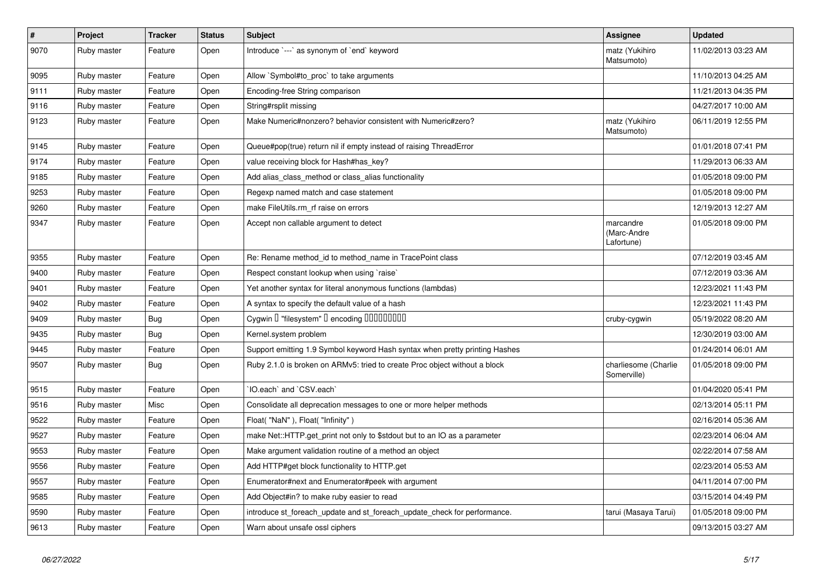| $\pmb{\#}$ | Project     | <b>Tracker</b> | <b>Status</b> | <b>Subject</b>                                                              | Assignee                               | <b>Updated</b>      |
|------------|-------------|----------------|---------------|-----------------------------------------------------------------------------|----------------------------------------|---------------------|
| 9070       | Ruby master | Feature        | Open          | Introduce `---` as synonym of `end` keyword                                 | matz (Yukihiro<br>Matsumoto)           | 11/02/2013 03:23 AM |
| 9095       | Ruby master | Feature        | Open          | Allow `Symbol#to proc` to take arguments                                    |                                        | 11/10/2013 04:25 AM |
| 9111       | Ruby master | Feature        | Open          | Encoding-free String comparison                                             |                                        | 11/21/2013 04:35 PM |
| 9116       | Ruby master | Feature        | Open          | String#rsplit missing                                                       |                                        | 04/27/2017 10:00 AM |
| 9123       | Ruby master | Feature        | Open          | Make Numeric#nonzero? behavior consistent with Numeric#zero?                | matz (Yukihiro<br>Matsumoto)           | 06/11/2019 12:55 PM |
| 9145       | Ruby master | Feature        | Open          | Queue#pop(true) return nil if empty instead of raising ThreadError          |                                        | 01/01/2018 07:41 PM |
| 9174       | Ruby master | Feature        | Open          | value receiving block for Hash#has_key?                                     |                                        | 11/29/2013 06:33 AM |
| 9185       | Ruby master | Feature        | Open          | Add alias class method or class alias functionality                         |                                        | 01/05/2018 09:00 PM |
| 9253       | Ruby master | Feature        | Open          | Regexp named match and case statement                                       |                                        | 01/05/2018 09:00 PM |
| 9260       | Ruby master | Feature        | Open          | make FileUtils.rm rf raise on errors                                        |                                        | 12/19/2013 12:27 AM |
| 9347       | Ruby master | Feature        | Open          | Accept non callable argument to detect                                      | marcandre<br>(Marc-Andre<br>Lafortune) | 01/05/2018 09:00 PM |
| 9355       | Ruby master | Feature        | Open          | Re: Rename method_id to method_name in TracePoint class                     |                                        | 07/12/2019 03:45 AM |
| 9400       | Ruby master | Feature        | Open          | Respect constant lookup when using `raise`                                  |                                        | 07/12/2019 03:36 AM |
| 9401       | Ruby master | Feature        | Open          | Yet another syntax for literal anonymous functions (lambdas)                |                                        | 12/23/2021 11:43 PM |
| 9402       | Ruby master | Feature        | Open          | A syntax to specify the default value of a hash                             |                                        | 12/23/2021 11:43 PM |
| 9409       | Ruby master | <b>Bug</b>     | Open          | Cygwin I "filesystem" I encoding IIIIIIIIIIIII                              | cruby-cygwin                           | 05/19/2022 08:20 AM |
| 9435       | Ruby master | Bug            | Open          | Kernel.system problem                                                       |                                        | 12/30/2019 03:00 AM |
| 9445       | Ruby master | Feature        | Open          | Support emitting 1.9 Symbol keyword Hash syntax when pretty printing Hashes |                                        | 01/24/2014 06:01 AM |
| 9507       | Ruby master | <b>Bug</b>     | Open          | Ruby 2.1.0 is broken on ARMv5: tried to create Proc object without a block  | charliesome (Charlie<br>Somerville)    | 01/05/2018 09:00 PM |
| 9515       | Ruby master | Feature        | Open          | IO.each` and `CSV.each`                                                     |                                        | 01/04/2020 05:41 PM |
| 9516       | Ruby master | Misc           | Open          | Consolidate all deprecation messages to one or more helper methods          |                                        | 02/13/2014 05:11 PM |
| 9522       | Ruby master | Feature        | Open          | Float("NaN"), Float("Infinity")                                             |                                        | 02/16/2014 05:36 AM |
| 9527       | Ruby master | Feature        | Open          | make Net::HTTP.get_print not only to \$stdout but to an IO as a parameter   |                                        | 02/23/2014 06:04 AM |
| 9553       | Ruby master | Feature        | Open          | Make argument validation routine of a method an object                      |                                        | 02/22/2014 07:58 AM |
| 9556       | Ruby master | Feature        | Open          | Add HTTP#get block functionality to HTTP.get                                |                                        | 02/23/2014 05:53 AM |
| 9557       | Ruby master | Feature        | Open          | Enumerator#next and Enumerator#peek with argument                           |                                        | 04/11/2014 07:00 PM |
| 9585       | Ruby master | Feature        | Open          | Add Object#in? to make ruby easier to read                                  |                                        | 03/15/2014 04:49 PM |
| 9590       | Ruby master | Feature        | Open          | introduce st foreach update and st foreach update check for performance.    | tarui (Masaya Tarui)                   | 01/05/2018 09:00 PM |
| 9613       | Ruby master | Feature        | Open          | Warn about unsafe ossl ciphers                                              |                                        | 09/13/2015 03:27 AM |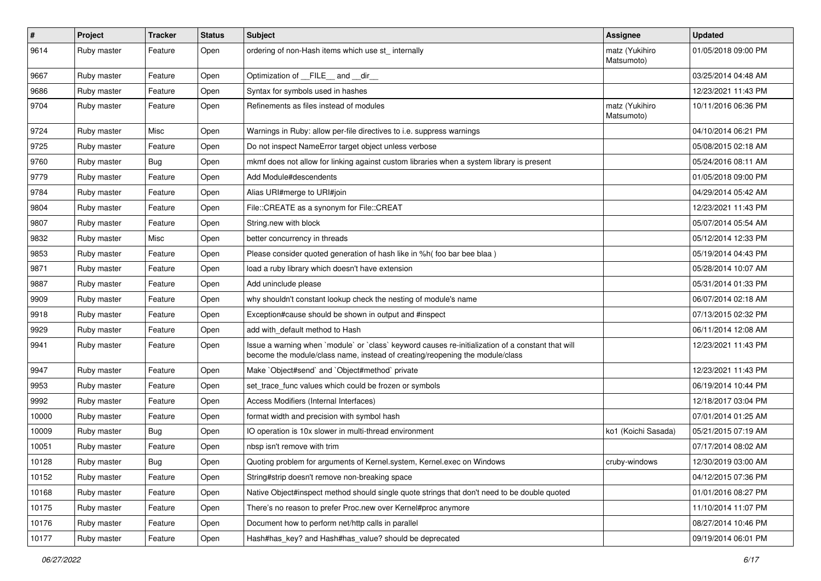| $\sharp$ | Project     | <b>Tracker</b> | <b>Status</b> | <b>Subject</b>                                                                                                                                                                    | <b>Assignee</b>              | <b>Updated</b>      |
|----------|-------------|----------------|---------------|-----------------------------------------------------------------------------------------------------------------------------------------------------------------------------------|------------------------------|---------------------|
| 9614     | Ruby master | Feature        | Open          | ordering of non-Hash items which use st_ internally                                                                                                                               | matz (Yukihiro<br>Matsumoto) | 01/05/2018 09:00 PM |
| 9667     | Ruby master | Feature        | Open          | Optimization of FILE and dir                                                                                                                                                      |                              | 03/25/2014 04:48 AM |
| 9686     | Ruby master | Feature        | Open          | Syntax for symbols used in hashes                                                                                                                                                 |                              | 12/23/2021 11:43 PM |
| 9704     | Ruby master | Feature        | Open          | Refinements as files instead of modules                                                                                                                                           | matz (Yukihiro<br>Matsumoto) | 10/11/2016 06:36 PM |
| 9724     | Ruby master | Misc           | Open          | Warnings in Ruby: allow per-file directives to i.e. suppress warnings                                                                                                             |                              | 04/10/2014 06:21 PM |
| 9725     | Ruby master | Feature        | Open          | Do not inspect NameError target object unless verbose                                                                                                                             |                              | 05/08/2015 02:18 AM |
| 9760     | Ruby master | Bug            | Open          | mkmf does not allow for linking against custom libraries when a system library is present                                                                                         |                              | 05/24/2016 08:11 AM |
| 9779     | Ruby master | Feature        | Open          | Add Module#descendents                                                                                                                                                            |                              | 01/05/2018 09:00 PM |
| 9784     | Ruby master | Feature        | Open          | Alias URI#merge to URI#join                                                                                                                                                       |                              | 04/29/2014 05:42 AM |
| 9804     | Ruby master | Feature        | Open          | File::CREATE as a synonym for File::CREAT                                                                                                                                         |                              | 12/23/2021 11:43 PM |
| 9807     | Ruby master | Feature        | Open          | String.new with block                                                                                                                                                             |                              | 05/07/2014 05:54 AM |
| 9832     | Ruby master | Misc           | Open          | better concurrency in threads                                                                                                                                                     |                              | 05/12/2014 12:33 PM |
| 9853     | Ruby master | Feature        | Open          | Please consider quoted generation of hash like in %h( foo bar bee blaa)                                                                                                           |                              | 05/19/2014 04:43 PM |
| 9871     | Ruby master | Feature        | Open          | load a ruby library which doesn't have extension                                                                                                                                  |                              | 05/28/2014 10:07 AM |
| 9887     | Ruby master | Feature        | Open          | Add uninclude please                                                                                                                                                              |                              | 05/31/2014 01:33 PM |
| 9909     | Ruby master | Feature        | Open          | why shouldn't constant lookup check the nesting of module's name                                                                                                                  |                              | 06/07/2014 02:18 AM |
| 9918     | Ruby master | Feature        | Open          | Exception#cause should be shown in output and #inspect                                                                                                                            |                              | 07/13/2015 02:32 PM |
| 9929     | Ruby master | Feature        | Open          | add with default method to Hash                                                                                                                                                   |                              | 06/11/2014 12:08 AM |
| 9941     | Ruby master | Feature        | Open          | Issue a warning when `module` or `class` keyword causes re-initialization of a constant that will<br>become the module/class name, instead of creating/reopening the module/class |                              | 12/23/2021 11:43 PM |
| 9947     | Ruby master | Feature        | Open          | Make `Object#send` and `Object#method` private                                                                                                                                    |                              | 12/23/2021 11:43 PM |
| 9953     | Ruby master | Feature        | Open          | set trace func values which could be frozen or symbols                                                                                                                            |                              | 06/19/2014 10:44 PM |
| 9992     | Ruby master | Feature        | Open          | Access Modifiers (Internal Interfaces)                                                                                                                                            |                              | 12/18/2017 03:04 PM |
| 10000    | Ruby master | Feature        | Open          | format width and precision with symbol hash                                                                                                                                       |                              | 07/01/2014 01:25 AM |
| 10009    | Ruby master | Bug            | Open          | IO operation is 10x slower in multi-thread environment                                                                                                                            | ko1 (Koichi Sasada)          | 05/21/2015 07:19 AM |
| 10051    | Ruby master | Feature        | Open          | nbsp isn't remove with trim                                                                                                                                                       |                              | 07/17/2014 08:02 AM |
| 10128    | Ruby master | Bug            | Open          | Quoting problem for arguments of Kernel.system, Kernel.exec on Windows                                                                                                            | cruby-windows                | 12/30/2019 03:00 AM |
| 10152    | Ruby master | Feature        | Open          | String#strip doesn't remove non-breaking space                                                                                                                                    |                              | 04/12/2015 07:36 PM |
| 10168    | Ruby master | Feature        | Open          | Native Object#inspect method should single quote strings that don't need to be double quoted                                                                                      |                              | 01/01/2016 08:27 PM |
| 10175    | Ruby master | Feature        | Open          | There's no reason to prefer Proc.new over Kernel#proc anymore                                                                                                                     |                              | 11/10/2014 11:07 PM |
| 10176    | Ruby master | Feature        | Open          | Document how to perform net/http calls in parallel                                                                                                                                |                              | 08/27/2014 10:46 PM |
| 10177    | Ruby master | Feature        | Open          | Hash#has_key? and Hash#has_value? should be deprecated                                                                                                                            |                              | 09/19/2014 06:01 PM |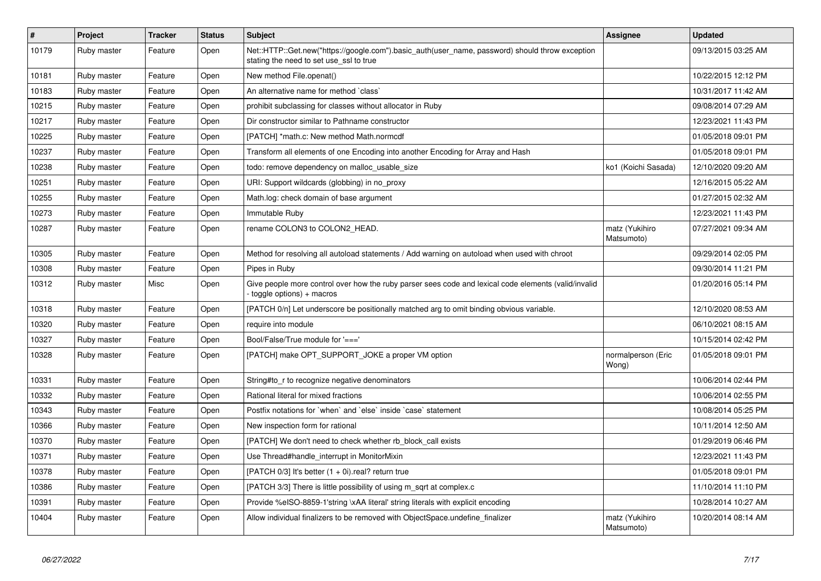| $\vert$ # | <b>Project</b> | <b>Tracker</b> | <b>Status</b> | <b>Subject</b>                                                                                                                             | Assignee                     | <b>Updated</b>      |
|-----------|----------------|----------------|---------------|--------------------------------------------------------------------------------------------------------------------------------------------|------------------------------|---------------------|
| 10179     | Ruby master    | Feature        | Open          | Net::HTTP::Get.new("https://google.com").basic_auth(user_name, password) should throw exception<br>stating the need to set use_ssl to true |                              | 09/13/2015 03:25 AM |
| 10181     | Ruby master    | Feature        | Open          | New method File.openat()                                                                                                                   |                              | 10/22/2015 12:12 PM |
| 10183     | Ruby master    | Feature        | Open          | An alternative name for method `class`                                                                                                     |                              | 10/31/2017 11:42 AM |
| 10215     | Ruby master    | Feature        | Open          | prohibit subclassing for classes without allocator in Ruby                                                                                 |                              | 09/08/2014 07:29 AM |
| 10217     | Ruby master    | Feature        | Open          | Dir constructor similar to Pathname constructor                                                                                            |                              | 12/23/2021 11:43 PM |
| 10225     | Ruby master    | Feature        | Open          | [PATCH] *math.c: New method Math.normcdf                                                                                                   |                              | 01/05/2018 09:01 PM |
| 10237     | Ruby master    | Feature        | Open          | Transform all elements of one Encoding into another Encoding for Array and Hash                                                            |                              | 01/05/2018 09:01 PM |
| 10238     | Ruby master    | Feature        | Open          | todo: remove dependency on malloc usable size                                                                                              | ko1 (Koichi Sasada)          | 12/10/2020 09:20 AM |
| 10251     | Ruby master    | Feature        | Open          | URI: Support wildcards (globbing) in no_proxy                                                                                              |                              | 12/16/2015 05:22 AM |
| 10255     | Ruby master    | Feature        | Open          | Math.log: check domain of base argument                                                                                                    |                              | 01/27/2015 02:32 AM |
| 10273     | Ruby master    | Feature        | Open          | Immutable Ruby                                                                                                                             |                              | 12/23/2021 11:43 PM |
| 10287     | Ruby master    | Feature        | Open          | rename COLON3 to COLON2 HEAD.                                                                                                              | matz (Yukihiro<br>Matsumoto) | 07/27/2021 09:34 AM |
| 10305     | Ruby master    | Feature        | Open          | Method for resolving all autoload statements / Add warning on autoload when used with chroot                                               |                              | 09/29/2014 02:05 PM |
| 10308     | Ruby master    | Feature        | Open          | Pipes in Ruby                                                                                                                              |                              | 09/30/2014 11:21 PM |
| 10312     | Ruby master    | Misc           | Open          | Give people more control over how the ruby parser sees code and lexical code elements (valid/invalid<br>toggle options) + macros           |                              | 01/20/2016 05:14 PM |
| 10318     | Ruby master    | Feature        | Open          | [PATCH 0/n] Let underscore be positionally matched arg to omit binding obvious variable.                                                   |                              | 12/10/2020 08:53 AM |
| 10320     | Ruby master    | Feature        | Open          | require into module                                                                                                                        |                              | 06/10/2021 08:15 AM |
| 10327     | Ruby master    | Feature        | Open          | Bool/False/True module for $'=='$                                                                                                          |                              | 10/15/2014 02:42 PM |
| 10328     | Ruby master    | Feature        | Open          | [PATCH] make OPT SUPPORT JOKE a proper VM option                                                                                           | normalperson (Eric<br>Wong)  | 01/05/2018 09:01 PM |
| 10331     | Ruby master    | Feature        | Open          | String#to r to recognize negative denominators                                                                                             |                              | 10/06/2014 02:44 PM |
| 10332     | Ruby master    | Feature        | Open          | Rational literal for mixed fractions                                                                                                       |                              | 10/06/2014 02:55 PM |
| 10343     | Ruby master    | Feature        | Open          | Postfix notations for 'when' and 'else' inside 'case' statement                                                                            |                              | 10/08/2014 05:25 PM |
| 10366     | Ruby master    | Feature        | Open          | New inspection form for rational                                                                                                           |                              | 10/11/2014 12:50 AM |
| 10370     | Ruby master    | Feature        | Open          | [PATCH] We don't need to check whether rb_block_call exists                                                                                |                              | 01/29/2019 06:46 PM |
| 10371     | Ruby master    | Feature        | Open          | Use Thread#handle_interrupt in MonitorMixin                                                                                                |                              | 12/23/2021 11:43 PM |
| 10378     | Ruby master    | Feature        | Open          | [PATCH $0/3$ ] It's better $(1 + 0i)$ .real? return true                                                                                   |                              | 01/05/2018 09:01 PM |
| 10386     | Ruby master    | Feature        | Open          | [PATCH 3/3] There is little possibility of using m sqrt at complex.c                                                                       |                              | 11/10/2014 11:10 PM |
| 10391     | Ruby master    | Feature        | Open          | Provide %eISO-8859-1'string \xAA literal' string literals with explicit encoding                                                           |                              | 10/28/2014 10:27 AM |
| 10404     | Ruby master    | Feature        | Open          | Allow individual finalizers to be removed with ObjectSpace.undefine_finalizer                                                              | matz (Yukihiro<br>Matsumoto) | 10/20/2014 08:14 AM |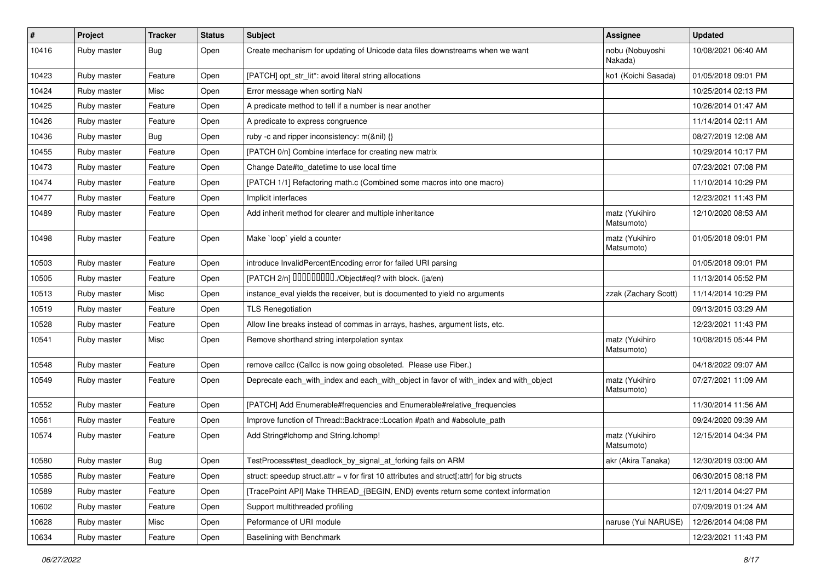| #     | Project     | <b>Tracker</b> | <b>Status</b> | <b>Subject</b>                                                                              | Assignee                     | <b>Updated</b>      |
|-------|-------------|----------------|---------------|---------------------------------------------------------------------------------------------|------------------------------|---------------------|
| 10416 | Ruby master | <b>Bug</b>     | Open          | Create mechanism for updating of Unicode data files downstreams when we want                | nobu (Nobuyoshi<br>Nakada)   | 10/08/2021 06:40 AM |
| 10423 | Ruby master | Feature        | Open          | [PATCH] opt_str_lit*: avoid literal string allocations                                      | ko1 (Koichi Sasada)          | 01/05/2018 09:01 PM |
| 10424 | Ruby master | Misc           | Open          | Error message when sorting NaN                                                              |                              | 10/25/2014 02:13 PM |
| 10425 | Ruby master | Feature        | Open          | A predicate method to tell if a number is near another                                      |                              | 10/26/2014 01:47 AM |
| 10426 | Ruby master | Feature        | Open          | A predicate to express congruence                                                           |                              | 11/14/2014 02:11 AM |
| 10436 | Ruby master | <b>Bug</b>     | Open          | ruby -c and ripper inconsistency: m(&nil) {}                                                |                              | 08/27/2019 12:08 AM |
| 10455 | Ruby master | Feature        | Open          | [PATCH 0/n] Combine interface for creating new matrix                                       |                              | 10/29/2014 10:17 PM |
| 10473 | Ruby master | Feature        | Open          | Change Date#to_datetime to use local time                                                   |                              | 07/23/2021 07:08 PM |
| 10474 | Ruby master | Feature        | Open          | [PATCH 1/1] Refactoring math.c (Combined some macros into one macro)                        |                              | 11/10/2014 10:29 PM |
| 10477 | Ruby master | Feature        | Open          | Implicit interfaces                                                                         |                              | 12/23/2021 11:43 PM |
| 10489 | Ruby master | Feature        | Open          | Add inherit method for clearer and multiple inheritance                                     | matz (Yukihiro<br>Matsumoto) | 12/10/2020 08:53 AM |
| 10498 | Ruby master | Feature        | Open          | Make `loop` yield a counter                                                                 | matz (Yukihiro<br>Matsumoto) | 01/05/2018 09:01 PM |
| 10503 | Ruby master | Feature        | Open          | introduce InvalidPercentEncoding error for failed URI parsing                               |                              | 01/05/2018 09:01 PM |
| 10505 | Ruby master | Feature        | Open          | [PATCH 2/n] DDDDDDDD./Object#eql? with block. (ja/en)                                       |                              | 11/13/2014 05:52 PM |
| 10513 | Ruby master | Misc           | Open          | instance_eval yields the receiver, but is documented to yield no arguments                  | zzak (Zachary Scott)         | 11/14/2014 10:29 PM |
| 10519 | Ruby master | Feature        | Open          | <b>TLS Renegotiation</b>                                                                    |                              | 09/13/2015 03:29 AM |
| 10528 | Ruby master | Feature        | Open          | Allow line breaks instead of commas in arrays, hashes, argument lists, etc.                 |                              | 12/23/2021 11:43 PM |
| 10541 | Ruby master | Misc           | Open          | Remove shorthand string interpolation syntax                                                | matz (Yukihiro<br>Matsumoto) | 10/08/2015 05:44 PM |
| 10548 | Ruby master | Feature        | Open          | remove callcc (Callcc is now going obsoleted. Please use Fiber.)                            |                              | 04/18/2022 09:07 AM |
| 10549 | Ruby master | Feature        | Open          | Deprecate each_with_index and each_with_object in favor of with_index and with_object       | matz (Yukihiro<br>Matsumoto) | 07/27/2021 11:09 AM |
| 10552 | Ruby master | Feature        | Open          | [PATCH] Add Enumerable#frequencies and Enumerable#relative_frequencies                      |                              | 11/30/2014 11:56 AM |
| 10561 | Ruby master | Feature        | Open          | Improve function of Thread::Backtrace::Location #path and #absolute_path                    |                              | 09/24/2020 09:39 AM |
| 10574 | Ruby master | Feature        | Open          | Add String#Ichomp and String.Ichomp!                                                        | matz (Yukihiro<br>Matsumoto) | 12/15/2014 04:34 PM |
| 10580 | Ruby master | Bug            | Open          | TestProcess#test_deadlock_by_signal_at_forking fails on ARM                                 | akr (Akira Tanaka)           | 12/30/2019 03:00 AM |
| 10585 | Ruby master | Feature        | Open          | struct: speedup struct.attr = $v$ for first 10 attributes and struct[:attr] for big structs |                              | 06/30/2015 08:18 PM |
| 10589 | Ruby master | Feature        | Open          | [TracePoint API] Make THREAD {BEGIN, END} events return some context information            |                              | 12/11/2014 04:27 PM |
| 10602 | Ruby master | Feature        | Open          | Support multithreaded profiling                                                             |                              | 07/09/2019 01:24 AM |
| 10628 | Ruby master | Misc           | Open          | Peformance of URI module                                                                    | naruse (Yui NARUSE)          | 12/26/2014 04:08 PM |
| 10634 | Ruby master | Feature        | Open          | Baselining with Benchmark                                                                   |                              | 12/23/2021 11:43 PM |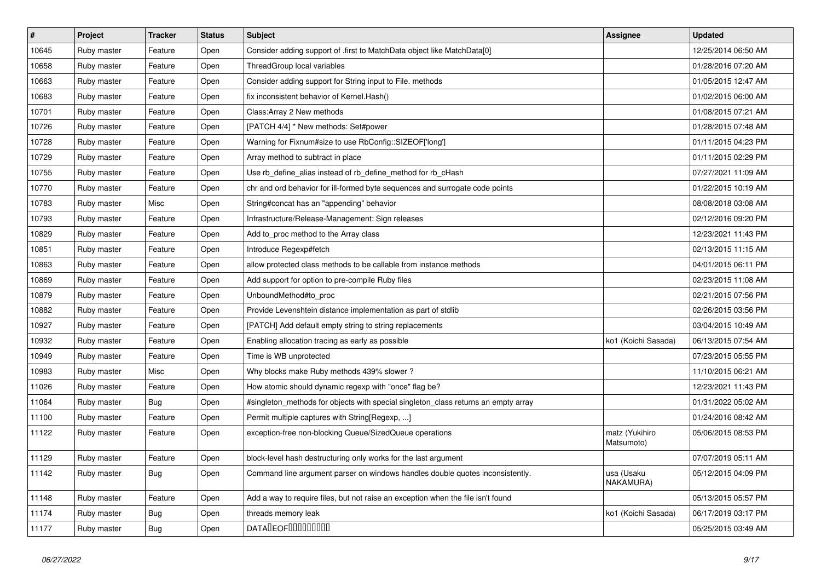| $\vert$ # | Project     | <b>Tracker</b> | <b>Status</b> | <b>Subject</b>                                                                     | <b>Assignee</b>              | <b>Updated</b>      |
|-----------|-------------|----------------|---------------|------------------------------------------------------------------------------------|------------------------------|---------------------|
| 10645     | Ruby master | Feature        | Open          | Consider adding support of .first to MatchData object like MatchData[0]            |                              | 12/25/2014 06:50 AM |
| 10658     | Ruby master | Feature        | Open          | ThreadGroup local variables                                                        |                              | 01/28/2016 07:20 AM |
| 10663     | Ruby master | Feature        | Open          | Consider adding support for String input to File. methods                          |                              | 01/05/2015 12:47 AM |
| 10683     | Ruby master | Feature        | Open          | fix inconsistent behavior of Kernel. Hash()                                        |                              | 01/02/2015 06:00 AM |
| 10701     | Ruby master | Feature        | Open          | Class: Array 2 New methods                                                         |                              | 01/08/2015 07:21 AM |
| 10726     | Ruby master | Feature        | Open          | [PATCH 4/4] * New methods: Set#power                                               |                              | 01/28/2015 07:48 AM |
| 10728     | Ruby master | Feature        | Open          | Warning for Fixnum#size to use RbConfig::SIZEOF['long']                            |                              | 01/11/2015 04:23 PM |
| 10729     | Ruby master | Feature        | Open          | Array method to subtract in place                                                  |                              | 01/11/2015 02:29 PM |
| 10755     | Ruby master | Feature        | Open          | Use rb_define_alias instead of rb_define_method for rb_cHash                       |                              | 07/27/2021 11:09 AM |
| 10770     | Ruby master | Feature        | Open          | chr and ord behavior for ill-formed byte sequences and surrogate code points       |                              | 01/22/2015 10:19 AM |
| 10783     | Ruby master | Misc           | Open          | String#concat has an "appending" behavior                                          |                              | 08/08/2018 03:08 AM |
| 10793     | Ruby master | Feature        | Open          | Infrastructure/Release-Management: Sign releases                                   |                              | 02/12/2016 09:20 PM |
| 10829     | Ruby master | Feature        | Open          | Add to_proc method to the Array class                                              |                              | 12/23/2021 11:43 PM |
| 10851     | Ruby master | Feature        | Open          | Introduce Regexp#fetch                                                             |                              | 02/13/2015 11:15 AM |
| 10863     | Ruby master | Feature        | Open          | allow protected class methods to be callable from instance methods                 |                              | 04/01/2015 06:11 PM |
| 10869     | Ruby master | Feature        | Open          | Add support for option to pre-compile Ruby files                                   |                              | 02/23/2015 11:08 AM |
| 10879     | Ruby master | Feature        | Open          | UnboundMethod#to_proc                                                              |                              | 02/21/2015 07:56 PM |
| 10882     | Ruby master | Feature        | Open          | Provide Levenshtein distance implementation as part of stdlib                      |                              | 02/26/2015 03:56 PM |
| 10927     | Ruby master | Feature        | Open          | [PATCH] Add default empty string to string replacements                            |                              | 03/04/2015 10:49 AM |
| 10932     | Ruby master | Feature        | Open          | Enabling allocation tracing as early as possible                                   | ko1 (Koichi Sasada)          | 06/13/2015 07:54 AM |
| 10949     | Ruby master | Feature        | Open          | Time is WB unprotected                                                             |                              | 07/23/2015 05:55 PM |
| 10983     | Ruby master | Misc           | Open          | Why blocks make Ruby methods 439% slower?                                          |                              | 11/10/2015 06:21 AM |
| 11026     | Ruby master | Feature        | Open          | How atomic should dynamic regexp with "once" flag be?                              |                              | 12/23/2021 11:43 PM |
| 11064     | Ruby master | <b>Bug</b>     | Open          | #singleton_methods for objects with special singleton_class returns an empty array |                              | 01/31/2022 05:02 AM |
| 11100     | Ruby master | Feature        | Open          | Permit multiple captures with String[Regexp, ]                                     |                              | 01/24/2016 08:42 AM |
| 11122     | Ruby master | Feature        | Open          | exception-free non-blocking Queue/SizedQueue operations                            | matz (Yukihiro<br>Matsumoto) | 05/06/2015 08:53 PM |
| 11129     | Ruby master | Feature        | Open          | block-level hash destructuring only works for the last argument                    |                              | 07/07/2019 05:11 AM |
| 11142     | Ruby master | <b>Bug</b>     | Open          | Command line argument parser on windows handles double quotes inconsistently.      | usa (Usaku<br>NAKAMURA)      | 05/12/2015 04:09 PM |
| 11148     | Ruby master | Feature        | Open          | Add a way to require files, but not raise an exception when the file isn't found   |                              | 05/13/2015 05:57 PM |
| 11174     | Ruby master | <b>Bug</b>     | Open          | threads memory leak                                                                | ko1 (Koichi Sasada)          | 06/17/2019 03:17 PM |
| 11177     | Ruby master | <b>Bug</b>     | Open          | <b>DATALEOFILILILILILI</b>                                                         |                              | 05/25/2015 03:49 AM |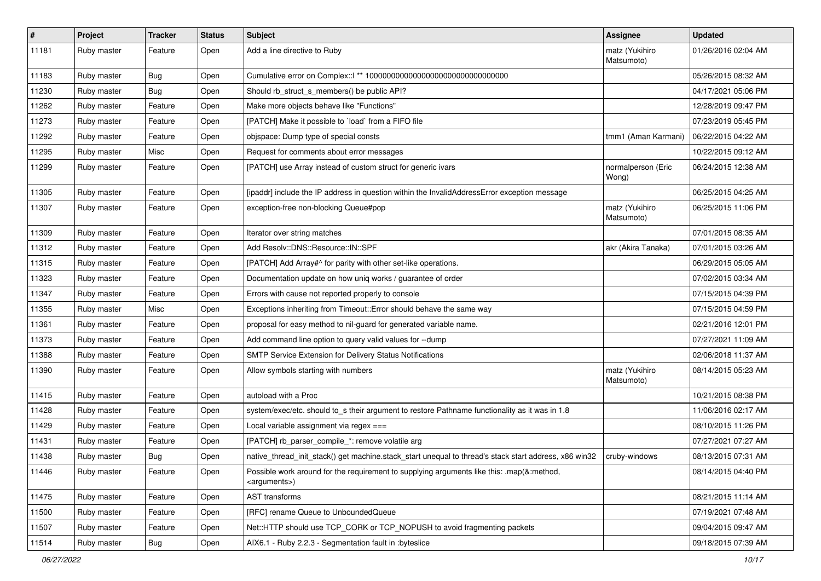| $\vert$ # | Project     | <b>Tracker</b> | <b>Status</b> | Subject                                                                                                               | Assignee                     | <b>Updated</b>      |
|-----------|-------------|----------------|---------------|-----------------------------------------------------------------------------------------------------------------------|------------------------------|---------------------|
| 11181     | Ruby master | Feature        | Open          | Add a line directive to Ruby                                                                                          | matz (Yukihiro<br>Matsumoto) | 01/26/2016 02:04 AM |
| 11183     | Ruby master | <b>Bug</b>     | Open          |                                                                                                                       |                              | 05/26/2015 08:32 AM |
| 11230     | Ruby master | <b>Bug</b>     | Open          | Should rb_struct_s_members() be public API?                                                                           |                              | 04/17/2021 05:06 PM |
| 11262     | Ruby master | Feature        | Open          | Make more objects behave like "Functions"                                                                             |                              | 12/28/2019 09:47 PM |
| 11273     | Ruby master | Feature        | Open          | [PATCH] Make it possible to `load` from a FIFO file                                                                   |                              | 07/23/2019 05:45 PM |
| 11292     | Ruby master | Feature        | Open          | objspace: Dump type of special consts                                                                                 | tmm1 (Aman Karmani)          | 06/22/2015 04:22 AM |
| 11295     | Ruby master | Misc           | Open          | Request for comments about error messages                                                                             |                              | 10/22/2015 09:12 AM |
| 11299     | Ruby master | Feature        | Open          | [PATCH] use Array instead of custom struct for generic ivars                                                          | normalperson (Eric<br>Wong)  | 06/24/2015 12:38 AM |
| 11305     | Ruby master | Feature        | Open          | [ipaddr] include the IP address in question within the InvalidAddressError exception message                          |                              | 06/25/2015 04:25 AM |
| 11307     | Ruby master | Feature        | Open          | exception-free non-blocking Queue#pop                                                                                 | matz (Yukihiro<br>Matsumoto) | 06/25/2015 11:06 PM |
| 11309     | Ruby master | Feature        | Open          | Iterator over string matches                                                                                          |                              | 07/01/2015 08:35 AM |
| 11312     | Ruby master | Feature        | Open          | Add Resolv::DNS::Resource::IN::SPF                                                                                    | akr (Akira Tanaka)           | 07/01/2015 03:26 AM |
| 11315     | Ruby master | Feature        | Open          | [PATCH] Add Array#^ for parity with other set-like operations.                                                        |                              | 06/29/2015 05:05 AM |
| 11323     | Ruby master | Feature        | Open          | Documentation update on how uniq works / guarantee of order                                                           |                              | 07/02/2015 03:34 AM |
| 11347     | Ruby master | Feature        | Open          | Errors with cause not reported properly to console                                                                    |                              | 07/15/2015 04:39 PM |
| 11355     | Ruby master | Misc           | Open          | Exceptions inheriting from Timeout:: Error should behave the same way                                                 |                              | 07/15/2015 04:59 PM |
| 11361     | Ruby master | Feature        | Open          | proposal for easy method to nil-guard for generated variable name.                                                    |                              | 02/21/2016 12:01 PM |
| 11373     | Ruby master | Feature        | Open          | Add command line option to query valid values for --dump                                                              |                              | 07/27/2021 11:09 AM |
| 11388     | Ruby master | Feature        | Open          | SMTP Service Extension for Delivery Status Notifications                                                              |                              | 02/06/2018 11:37 AM |
| 11390     | Ruby master | Feature        | Open          | Allow symbols starting with numbers                                                                                   | matz (Yukihiro<br>Matsumoto) | 08/14/2015 05:23 AM |
| 11415     | Ruby master | Feature        | Open          | autoload with a Proc                                                                                                  |                              | 10/21/2015 08:38 PM |
| 11428     | Ruby master | Feature        | Open          | system/exec/etc. should to_s their argument to restore Pathname functionality as it was in 1.8                        |                              | 11/06/2016 02:17 AM |
| 11429     | Ruby master | Feature        | Open          | Local variable assignment via regex $==$                                                                              |                              | 08/10/2015 11:26 PM |
| 11431     | Ruby master | Feature        | Open          | [PATCH] rb_parser_compile_*: remove volatile arg                                                                      |                              | 07/27/2021 07:27 AM |
| 11438     | Ruby master | <b>Bug</b>     | Open          | native thread init stack() get machine.stack_start unequal to thread's stack start address, x86 win32                 | cruby-windows                | 08/13/2015 07:31 AM |
| 11446     | Ruby master | Feature        | Open          | Possible work around for the requirement to supplying arguments like this: .map(&:method,<br><arguments>)</arguments> |                              | 08/14/2015 04:40 PM |
| 11475     | Ruby master | Feature        | Open          | AST transforms                                                                                                        |                              | 08/21/2015 11:14 AM |
| 11500     | Ruby master | Feature        | Open          | [RFC] rename Queue to UnboundedQueue                                                                                  |                              | 07/19/2021 07:48 AM |
| 11507     | Ruby master | Feature        | Open          | Net::HTTP should use TCP_CORK or TCP_NOPUSH to avoid fragmenting packets                                              |                              | 09/04/2015 09:47 AM |
| 11514     | Ruby master | Bug            | Open          | AIX6.1 - Ruby 2.2.3 - Segmentation fault in :byteslice                                                                |                              | 09/18/2015 07:39 AM |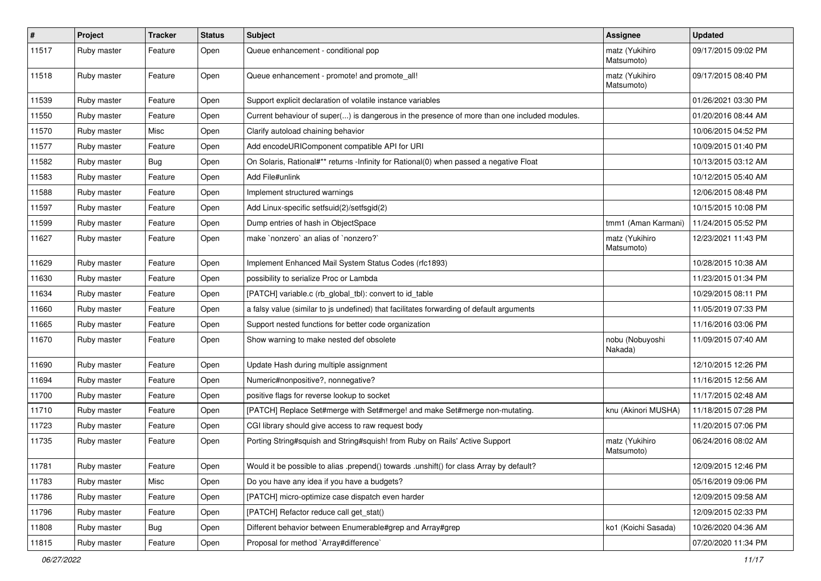| $\vert$ # | Project     | <b>Tracker</b> | <b>Status</b> | <b>Subject</b>                                                                               | <b>Assignee</b>              | <b>Updated</b>      |
|-----------|-------------|----------------|---------------|----------------------------------------------------------------------------------------------|------------------------------|---------------------|
| 11517     | Ruby master | Feature        | Open          | Queue enhancement - conditional pop                                                          | matz (Yukihiro<br>Matsumoto) | 09/17/2015 09:02 PM |
| 11518     | Ruby master | Feature        | Open          | Queue enhancement - promote! and promote all!                                                | matz (Yukihiro<br>Matsumoto) | 09/17/2015 08:40 PM |
| 11539     | Ruby master | Feature        | Open          | Support explicit declaration of volatile instance variables                                  |                              | 01/26/2021 03:30 PM |
| 11550     | Ruby master | Feature        | Open          | Current behaviour of super() is dangerous in the presence of more than one included modules. |                              | 01/20/2016 08:44 AM |
| 11570     | Ruby master | Misc           | Open          | Clarify autoload chaining behavior                                                           |                              | 10/06/2015 04:52 PM |
| 11577     | Ruby master | Feature        | Open          | Add encodeURIComponent compatible API for URI                                                |                              | 10/09/2015 01:40 PM |
| 11582     | Ruby master | <b>Bug</b>     | Open          | On Solaris, Rational#** returns -Infinity for Rational(0) when passed a negative Float       |                              | 10/13/2015 03:12 AM |
| 11583     | Ruby master | Feature        | Open          | Add File#unlink                                                                              |                              | 10/12/2015 05:40 AM |
| 11588     | Ruby master | Feature        | Open          | Implement structured warnings                                                                |                              | 12/06/2015 08:48 PM |
| 11597     | Ruby master | Feature        | Open          | Add Linux-specific setfsuid(2)/setfsgid(2)                                                   |                              | 10/15/2015 10:08 PM |
| 11599     | Ruby master | Feature        | Open          | Dump entries of hash in ObjectSpace                                                          | tmm1 (Aman Karmani)          | 11/24/2015 05:52 PM |
| 11627     | Ruby master | Feature        | Open          | make `nonzero` an alias of `nonzero?`                                                        | matz (Yukihiro<br>Matsumoto) | 12/23/2021 11:43 PM |
| 11629     | Ruby master | Feature        | Open          | Implement Enhanced Mail System Status Codes (rfc1893)                                        |                              | 10/28/2015 10:38 AM |
| 11630     | Ruby master | Feature        | Open          | possibility to serialize Proc or Lambda                                                      |                              | 11/23/2015 01:34 PM |
| 11634     | Ruby master | Feature        | Open          | [PATCH] variable.c (rb_global_tbl): convert to id_table                                      |                              | 10/29/2015 08:11 PM |
| 11660     | Ruby master | Feature        | Open          | a falsy value (similar to js undefined) that facilitates forwarding of default arguments     |                              | 11/05/2019 07:33 PM |
| 11665     | Ruby master | Feature        | Open          | Support nested functions for better code organization                                        |                              | 11/16/2016 03:06 PM |
| 11670     | Ruby master | Feature        | Open          | Show warning to make nested def obsolete                                                     | nobu (Nobuyoshi<br>Nakada)   | 11/09/2015 07:40 AM |
| 11690     | Ruby master | Feature        | Open          | Update Hash during multiple assignment                                                       |                              | 12/10/2015 12:26 PM |
| 11694     | Ruby master | Feature        | Open          | Numeric#nonpositive?, nonnegative?                                                           |                              | 11/16/2015 12:56 AM |
| 11700     | Ruby master | Feature        | Open          | positive flags for reverse lookup to socket                                                  |                              | 11/17/2015 02:48 AM |
| 11710     | Ruby master | Feature        | Open          | [PATCH] Replace Set#merge with Set#merge! and make Set#merge non-mutating.                   | knu (Akinori MUSHA)          | 11/18/2015 07:28 PM |
| 11723     | Ruby master | Feature        | Open          | CGI library should give access to raw request body                                           |                              | 11/20/2015 07:06 PM |
| 11735     | Ruby master | Feature        | Open          | Porting String#squish and String#squish! from Ruby on Rails' Active Support                  | matz (Yukihiro<br>Matsumoto) | 06/24/2016 08:02 AM |
| 11781     | Ruby master | Feature        | Open          | Would it be possible to alias .prepend() towards .unshift() for class Array by default?      |                              | 12/09/2015 12:46 PM |
| 11783     | Ruby master | Misc           | Open          | Do you have any idea if you have a budgets?                                                  |                              | 05/16/2019 09:06 PM |
| 11786     | Ruby master | Feature        | Open          | [PATCH] micro-optimize case dispatch even harder                                             |                              | 12/09/2015 09:58 AM |
| 11796     | Ruby master | Feature        | Open          | [PATCH] Refactor reduce call get_stat()                                                      |                              | 12/09/2015 02:33 PM |
| 11808     | Ruby master | Bug            | Open          | Different behavior between Enumerable#grep and Array#grep                                    | ko1 (Koichi Sasada)          | 10/26/2020 04:36 AM |
| 11815     | Ruby master | Feature        | Open          | Proposal for method `Array#difference`                                                       |                              | 07/20/2020 11:34 PM |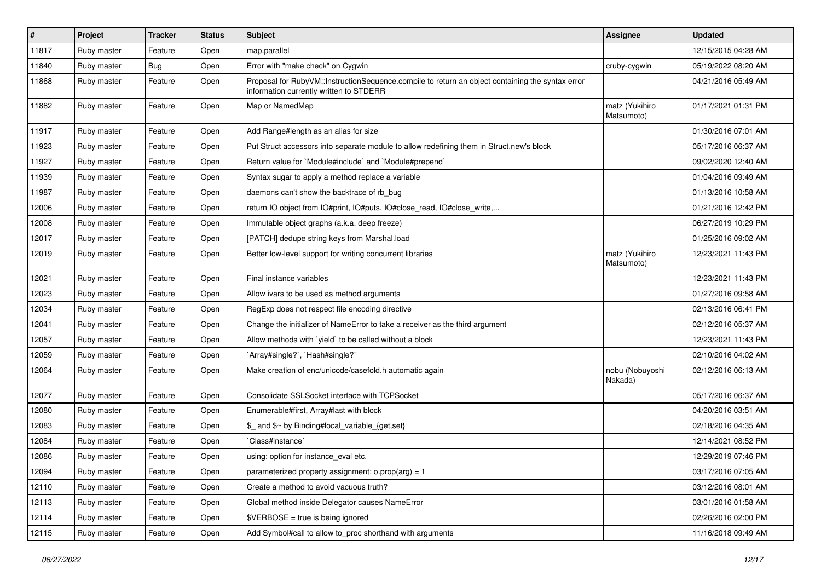| $\sharp$ | Project     | <b>Tracker</b> | <b>Status</b> | <b>Subject</b>                                                                                                                              | Assignee                     | <b>Updated</b>      |
|----------|-------------|----------------|---------------|---------------------------------------------------------------------------------------------------------------------------------------------|------------------------------|---------------------|
| 11817    | Ruby master | Feature        | Open          | map.parallel                                                                                                                                |                              | 12/15/2015 04:28 AM |
| 11840    | Ruby master | Bug            | Open          | Error with "make check" on Cygwin                                                                                                           | cruby-cygwin                 | 05/19/2022 08:20 AM |
| 11868    | Ruby master | Feature        | Open          | Proposal for RubyVM::InstructionSequence.compile to return an object containing the syntax error<br>information currently written to STDERR |                              | 04/21/2016 05:49 AM |
| 11882    | Ruby master | Feature        | Open          | Map or NamedMap                                                                                                                             | matz (Yukihiro<br>Matsumoto) | 01/17/2021 01:31 PM |
| 11917    | Ruby master | Feature        | Open          | Add Range#length as an alias for size                                                                                                       |                              | 01/30/2016 07:01 AM |
| 11923    | Ruby master | Feature        | Open          | Put Struct accessors into separate module to allow redefining them in Struct.new's block                                                    |                              | 05/17/2016 06:37 AM |
| 11927    | Ruby master | Feature        | Open          | Return value for `Module#include` and `Module#prepend`                                                                                      |                              | 09/02/2020 12:40 AM |
| 11939    | Ruby master | Feature        | Open          | Syntax sugar to apply a method replace a variable                                                                                           |                              | 01/04/2016 09:49 AM |
| 11987    | Ruby master | Feature        | Open          | daemons can't show the backtrace of rb_bug                                                                                                  |                              | 01/13/2016 10:58 AM |
| 12006    | Ruby master | Feature        | Open          | return IO object from IO#print, IO#puts, IO#close_read, IO#close_write,                                                                     |                              | 01/21/2016 12:42 PM |
| 12008    | Ruby master | Feature        | Open          | Immutable object graphs (a.k.a. deep freeze)                                                                                                |                              | 06/27/2019 10:29 PM |
| 12017    | Ruby master | Feature        | Open          | [PATCH] dedupe string keys from Marshal.load                                                                                                |                              | 01/25/2016 09:02 AM |
| 12019    | Ruby master | Feature        | Open          | Better low-level support for writing concurrent libraries                                                                                   | matz (Yukihiro<br>Matsumoto) | 12/23/2021 11:43 PM |
| 12021    | Ruby master | Feature        | Open          | Final instance variables                                                                                                                    |                              | 12/23/2021 11:43 PM |
| 12023    | Ruby master | Feature        | Open          | Allow ivars to be used as method arguments                                                                                                  |                              | 01/27/2016 09:58 AM |
| 12034    | Ruby master | Feature        | Open          | RegExp does not respect file encoding directive                                                                                             |                              | 02/13/2016 06:41 PM |
| 12041    | Ruby master | Feature        | Open          | Change the initializer of NameError to take a receiver as the third argument                                                                |                              | 02/12/2016 05:37 AM |
| 12057    | Ruby master | Feature        | Open          | Allow methods with 'yield' to be called without a block                                                                                     |                              | 12/23/2021 11:43 PM |
| 12059    | Ruby master | Feature        | Open          | 'Array#single?', 'Hash#single?'                                                                                                             |                              | 02/10/2016 04:02 AM |
| 12064    | Ruby master | Feature        | Open          | Make creation of enc/unicode/casefold.h automatic again                                                                                     | nobu (Nobuyoshi<br>Nakada)   | 02/12/2016 06:13 AM |
| 12077    | Ruby master | Feature        | Open          | Consolidate SSLSocket interface with TCPSocket                                                                                              |                              | 05/17/2016 06:37 AM |
| 12080    | Ruby master | Feature        | Open          | Enumerable#first, Array#last with block                                                                                                     |                              | 04/20/2016 03:51 AM |
| 12083    | Ruby master | Feature        | Open          | \$_ and \$~ by Binding#local_variable_{get,set}                                                                                             |                              | 02/18/2016 04:35 AM |
| 12084    | Ruby master | Feature        | Open          | Class#instance`                                                                                                                             |                              | 12/14/2021 08:52 PM |
| 12086    | Ruby master | Feature        | Open          | using: option for instance_eval etc.                                                                                                        |                              | 12/29/2019 07:46 PM |
| 12094    | Ruby master | Feature        | Open          | parameterized property assignment: $o.prop(arg) = 1$                                                                                        |                              | 03/17/2016 07:05 AM |
| 12110    | Ruby master | Feature        | Open          | Create a method to avoid vacuous truth?                                                                                                     |                              | 03/12/2016 08:01 AM |
| 12113    | Ruby master | Feature        | Open          | Global method inside Delegator causes NameError                                                                                             |                              | 03/01/2016 01:58 AM |
| 12114    | Ruby master | Feature        | Open          | \$VERBOSE = true is being ignored                                                                                                           |                              | 02/26/2016 02:00 PM |
| 12115    | Ruby master | Feature        | Open          | Add Symbol#call to allow to_proc shorthand with arguments                                                                                   |                              | 11/16/2018 09:49 AM |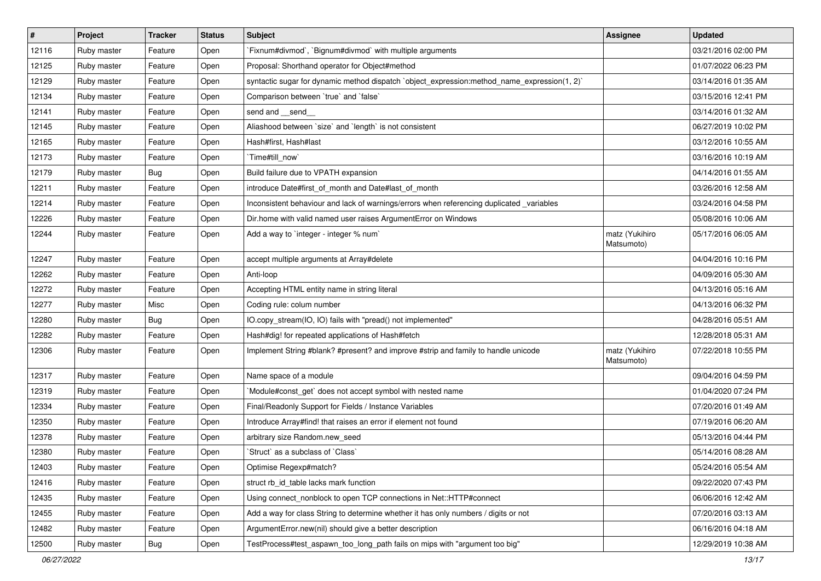| $\vert$ # | Project     | <b>Tracker</b> | <b>Status</b> | <b>Subject</b>                                                                               | <b>Assignee</b>              | <b>Updated</b>      |
|-----------|-------------|----------------|---------------|----------------------------------------------------------------------------------------------|------------------------------|---------------------|
| 12116     | Ruby master | Feature        | Open          | `Fixnum#divmod`, `Bignum#divmod` with multiple arguments                                     |                              | 03/21/2016 02:00 PM |
| 12125     | Ruby master | Feature        | Open          | Proposal: Shorthand operator for Object#method                                               |                              | 01/07/2022 06:23 PM |
| 12129     | Ruby master | Feature        | Open          | syntactic sugar for dynamic method dispatch `object_expression:method_name_expression(1, 2)` |                              | 03/14/2016 01:35 AM |
| 12134     | Ruby master | Feature        | Open          | Comparison between 'true' and 'false'                                                        |                              | 03/15/2016 12:41 PM |
| 12141     | Ruby master | Feature        | Open          | send and __send_                                                                             |                              | 03/14/2016 01:32 AM |
| 12145     | Ruby master | Feature        | Open          | Aliashood between `size` and `length` is not consistent                                      |                              | 06/27/2019 10:02 PM |
| 12165     | Ruby master | Feature        | Open          | Hash#first, Hash#last                                                                        |                              | 03/12/2016 10:55 AM |
| 12173     | Ruby master | Feature        | Open          | `Time#till now`                                                                              |                              | 03/16/2016 10:19 AM |
| 12179     | Ruby master | <b>Bug</b>     | Open          | Build failure due to VPATH expansion                                                         |                              | 04/14/2016 01:55 AM |
| 12211     | Ruby master | Feature        | Open          | introduce Date#first_of_month and Date#last_of_month                                         |                              | 03/26/2016 12:58 AM |
| 12214     | Ruby master | Feature        | Open          | Inconsistent behaviour and lack of warnings/errors when referencing duplicated _variables    |                              | 03/24/2016 04:58 PM |
| 12226     | Ruby master | Feature        | Open          | Dir.home with valid named user raises ArgumentError on Windows                               |                              | 05/08/2016 10:06 AM |
| 12244     | Ruby master | Feature        | Open          | Add a way to `integer - integer % num`                                                       | matz (Yukihiro<br>Matsumoto) | 05/17/2016 06:05 AM |
| 12247     | Ruby master | Feature        | Open          | accept multiple arguments at Array#delete                                                    |                              | 04/04/2016 10:16 PM |
| 12262     | Ruby master | Feature        | Open          | Anti-loop                                                                                    |                              | 04/09/2016 05:30 AM |
| 12272     | Ruby master | Feature        | Open          | Accepting HTML entity name in string literal                                                 |                              | 04/13/2016 05:16 AM |
| 12277     | Ruby master | Misc           | Open          | Coding rule: colum number                                                                    |                              | 04/13/2016 06:32 PM |
| 12280     | Ruby master | Bug            | Open          | IO.copy_stream(IO, IO) fails with "pread() not implemented"                                  |                              | 04/28/2016 05:51 AM |
| 12282     | Ruby master | Feature        | Open          | Hash#dig! for repeated applications of Hash#fetch                                            |                              | 12/28/2018 05:31 AM |
| 12306     | Ruby master | Feature        | Open          | Implement String #blank? #present? and improve #strip and family to handle unicode           | matz (Yukihiro<br>Matsumoto) | 07/22/2018 10:55 PM |
| 12317     | Ruby master | Feature        | Open          | Name space of a module                                                                       |                              | 09/04/2016 04:59 PM |
| 12319     | Ruby master | Feature        | Open          | Module#const_get` does not accept symbol with nested name                                    |                              | 01/04/2020 07:24 PM |
| 12334     | Ruby master | Feature        | Open          | Final/Readonly Support for Fields / Instance Variables                                       |                              | 07/20/2016 01:49 AM |
| 12350     | Ruby master | Feature        | Open          | Introduce Array#find! that raises an error if element not found                              |                              | 07/19/2016 06:20 AM |
| 12378     | Ruby master | Feature        | Open          | arbitrary size Random.new seed                                                               |                              | 05/13/2016 04:44 PM |
| 12380     | Ruby master | Feature        | Open          | 'Struct' as a subclass of 'Class'                                                            |                              | 05/14/2016 08:28 AM |
| 12403     | Ruby master | Feature        | Open          | Optimise Regexp#match?                                                                       |                              | 05/24/2016 05:54 AM |
| 12416     | Ruby master | Feature        | Open          | struct rb id table lacks mark function                                                       |                              | 09/22/2020 07:43 PM |
| 12435     | Ruby master | Feature        | Open          | Using connect nonblock to open TCP connections in Net::HTTP#connect                          |                              | 06/06/2016 12:42 AM |
| 12455     | Ruby master | Feature        | Open          | Add a way for class String to determine whether it has only numbers / digits or not          |                              | 07/20/2016 03:13 AM |
| 12482     | Ruby master | Feature        | Open          | ArgumentError.new(nil) should give a better description                                      |                              | 06/16/2016 04:18 AM |
| 12500     | Ruby master | Bug            | Open          | TestProcess#test_aspawn_too_long_path fails on mips with "argument too big"                  |                              | 12/29/2019 10:38 AM |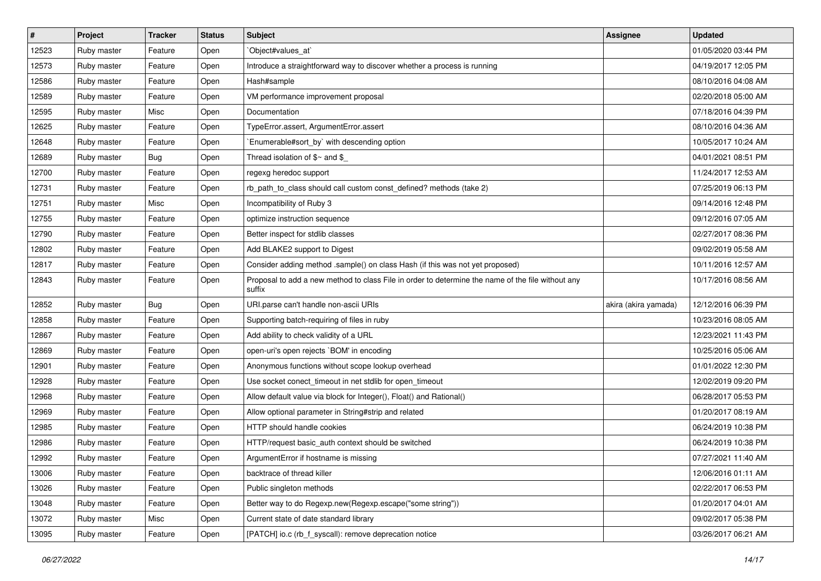| $\vert$ # | Project     | <b>Tracker</b> | <b>Status</b> | Subject                                                                                                     | <b>Assignee</b>      | <b>Updated</b>      |
|-----------|-------------|----------------|---------------|-------------------------------------------------------------------------------------------------------------|----------------------|---------------------|
| 12523     | Ruby master | Feature        | Open          | Object#values_at`                                                                                           |                      | 01/05/2020 03:44 PM |
| 12573     | Ruby master | Feature        | Open          | Introduce a straightforward way to discover whether a process is running                                    |                      | 04/19/2017 12:05 PM |
| 12586     | Ruby master | Feature        | Open          | Hash#sample                                                                                                 |                      | 08/10/2016 04:08 AM |
| 12589     | Ruby master | Feature        | Open          | VM performance improvement proposal                                                                         |                      | 02/20/2018 05:00 AM |
| 12595     | Ruby master | Misc           | Open          | Documentation                                                                                               |                      | 07/18/2016 04:39 PM |
| 12625     | Ruby master | Feature        | Open          | TypeError.assert, ArgumentError.assert                                                                      |                      | 08/10/2016 04:36 AM |
| 12648     | Ruby master | Feature        | Open          | Enumerable#sort_by` with descending option                                                                  |                      | 10/05/2017 10:24 AM |
| 12689     | Ruby master | <b>Bug</b>     | Open          | Thread isolation of $$~$ and $$$                                                                            |                      | 04/01/2021 08:51 PM |
| 12700     | Ruby master | Feature        | Open          | regexg heredoc support                                                                                      |                      | 11/24/2017 12:53 AM |
| 12731     | Ruby master | Feature        | Open          | rb_path_to_class should call custom const_defined? methods (take 2)                                         |                      | 07/25/2019 06:13 PM |
| 12751     | Ruby master | Misc           | Open          | Incompatibility of Ruby 3                                                                                   |                      | 09/14/2016 12:48 PM |
| 12755     | Ruby master | Feature        | Open          | optimize instruction sequence                                                                               |                      | 09/12/2016 07:05 AM |
| 12790     | Ruby master | Feature        | Open          | Better inspect for stdlib classes                                                                           |                      | 02/27/2017 08:36 PM |
| 12802     | Ruby master | Feature        | Open          | Add BLAKE2 support to Digest                                                                                |                      | 09/02/2019 05:58 AM |
| 12817     | Ruby master | Feature        | Open          | Consider adding method .sample() on class Hash (if this was not yet proposed)                               |                      | 10/11/2016 12:57 AM |
| 12843     | Ruby master | Feature        | Open          | Proposal to add a new method to class File in order to determine the name of the file without any<br>suffix |                      | 10/17/2016 08:56 AM |
| 12852     | Ruby master | <b>Bug</b>     | Open          | URI.parse can't handle non-ascii URIs                                                                       | akira (akira yamada) | 12/12/2016 06:39 PM |
| 12858     | Ruby master | Feature        | Open          | Supporting batch-requiring of files in ruby                                                                 |                      | 10/23/2016 08:05 AM |
| 12867     | Ruby master | Feature        | Open          | Add ability to check validity of a URL                                                                      |                      | 12/23/2021 11:43 PM |
| 12869     | Ruby master | Feature        | Open          | open-uri's open rejects `BOM' in encoding                                                                   |                      | 10/25/2016 05:06 AM |
| 12901     | Ruby master | Feature        | Open          | Anonymous functions without scope lookup overhead                                                           |                      | 01/01/2022 12:30 PM |
| 12928     | Ruby master | Feature        | Open          | Use socket conect_timeout in net stdlib for open_timeout                                                    |                      | 12/02/2019 09:20 PM |
| 12968     | Ruby master | Feature        | Open          | Allow default value via block for Integer(), Float() and Rational()                                         |                      | 06/28/2017 05:53 PM |
| 12969     | Ruby master | Feature        | Open          | Allow optional parameter in String#strip and related                                                        |                      | 01/20/2017 08:19 AM |
| 12985     | Ruby master | Feature        | Open          | HTTP should handle cookies                                                                                  |                      | 06/24/2019 10:38 PM |
| 12986     | Ruby master | Feature        | Open          | HTTP/request basic_auth context should be switched                                                          |                      | 06/24/2019 10:38 PM |
| 12992     | Ruby master | Feature        | Open          | ArgumentError if hostname is missing                                                                        |                      | 07/27/2021 11:40 AM |
| 13006     | Ruby master | Feature        | Open          | backtrace of thread killer                                                                                  |                      | 12/06/2016 01:11 AM |
| 13026     | Ruby master | Feature        | Open          | Public singleton methods                                                                                    |                      | 02/22/2017 06:53 PM |
| 13048     | Ruby master | Feature        | Open          | Better way to do Regexp.new(Regexp.escape("some string"))                                                   |                      | 01/20/2017 04:01 AM |
| 13072     | Ruby master | Misc           | Open          | Current state of date standard library                                                                      |                      | 09/02/2017 05:38 PM |
| 13095     | Ruby master | Feature        | Open          | [PATCH] io.c (rb_f_syscall): remove deprecation notice                                                      |                      | 03/26/2017 06:21 AM |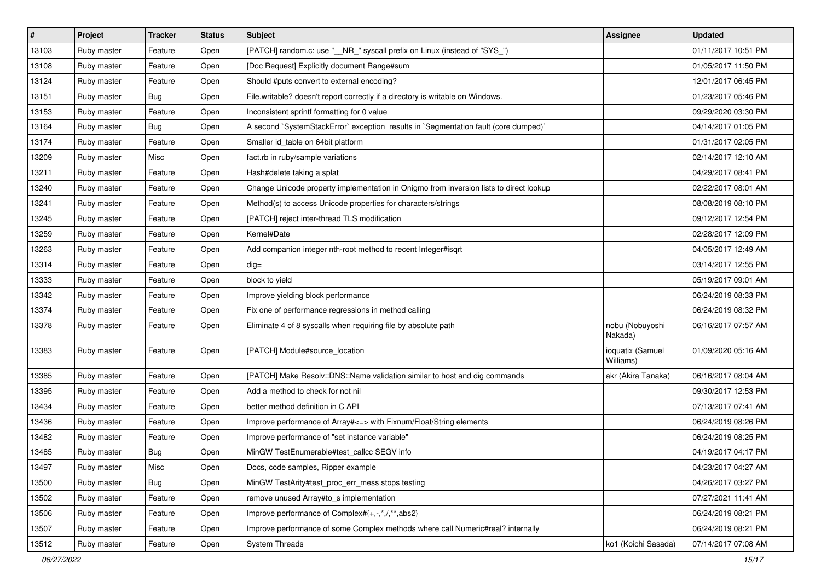| $\vert$ # | Project     | <b>Tracker</b> | <b>Status</b> | Subject                                                                                | <b>Assignee</b>               | <b>Updated</b>      |
|-----------|-------------|----------------|---------------|----------------------------------------------------------------------------------------|-------------------------------|---------------------|
| 13103     | Ruby master | Feature        | Open          | [PATCH] random.c: use "__NR_" syscall prefix on Linux (instead of "SYS_")              |                               | 01/11/2017 10:51 PM |
| 13108     | Ruby master | Feature        | Open          | [Doc Request] Explicitly document Range#sum                                            |                               | 01/05/2017 11:50 PM |
| 13124     | Ruby master | Feature        | Open          | Should #puts convert to external encoding?                                             |                               | 12/01/2017 06:45 PM |
| 13151     | Ruby master | <b>Bug</b>     | Open          | File.writable? doesn't report correctly if a directory is writable on Windows.         |                               | 01/23/2017 05:46 PM |
| 13153     | Ruby master | Feature        | Open          | Inconsistent sprintf formatting for 0 value                                            |                               | 09/29/2020 03:30 PM |
| 13164     | Ruby master | <b>Bug</b>     | Open          | A second `SystemStackError` exception results in `Segmentation fault (core dumped)`    |                               | 04/14/2017 01:05 PM |
| 13174     | Ruby master | Feature        | Open          | Smaller id table on 64bit platform                                                     |                               | 01/31/2017 02:05 PM |
| 13209     | Ruby master | Misc           | Open          | fact.rb in ruby/sample variations                                                      |                               | 02/14/2017 12:10 AM |
| 13211     | Ruby master | Feature        | Open          | Hash#delete taking a splat                                                             |                               | 04/29/2017 08:41 PM |
| 13240     | Ruby master | Feature        | Open          | Change Unicode property implementation in Onigmo from inversion lists to direct lookup |                               | 02/22/2017 08:01 AM |
| 13241     | Ruby master | Feature        | Open          | Method(s) to access Unicode properties for characters/strings                          |                               | 08/08/2019 08:10 PM |
| 13245     | Ruby master | Feature        | Open          | [PATCH] reject inter-thread TLS modification                                           |                               | 09/12/2017 12:54 PM |
| 13259     | Ruby master | Feature        | Open          | Kernel#Date                                                                            |                               | 02/28/2017 12:09 PM |
| 13263     | Ruby master | Feature        | Open          | Add companion integer nth-root method to recent Integer#isqrt                          |                               | 04/05/2017 12:49 AM |
| 13314     | Ruby master | Feature        | Open          | $dig =$                                                                                |                               | 03/14/2017 12:55 PM |
| 13333     | Ruby master | Feature        | Open          | block to yield                                                                         |                               | 05/19/2017 09:01 AM |
| 13342     | Ruby master | Feature        | Open          | Improve yielding block performance                                                     |                               | 06/24/2019 08:33 PM |
| 13374     | Ruby master | Feature        | Open          | Fix one of performance regressions in method calling                                   |                               | 06/24/2019 08:32 PM |
| 13378     | Ruby master | Feature        | Open          | Eliminate 4 of 8 syscalls when requiring file by absolute path                         | nobu (Nobuyoshi<br>Nakada)    | 06/16/2017 07:57 AM |
| 13383     | Ruby master | Feature        | Open          | [PATCH] Module#source_location                                                         | ioquatix (Samuel<br>Williams) | 01/09/2020 05:16 AM |
| 13385     | Ruby master | Feature        | Open          | [PATCH] Make Resolv::DNS::Name validation similar to host and dig commands             | akr (Akira Tanaka)            | 06/16/2017 08:04 AM |
| 13395     | Ruby master | Feature        | Open          | Add a method to check for not nil                                                      |                               | 09/30/2017 12:53 PM |
| 13434     | Ruby master | Feature        | Open          | better method definition in C API                                                      |                               | 07/13/2017 07:41 AM |
| 13436     | Ruby master | Feature        | Open          | Improve performance of Array# <= > with Fixnum/Float/String elements                   |                               | 06/24/2019 08:26 PM |
| 13482     | Ruby master | Feature        | Open          | Improve performance of "set instance variable"                                         |                               | 06/24/2019 08:25 PM |
| 13485     | Ruby master | Bug            | Open          | MinGW TestEnumerable#test_callcc SEGV info                                             |                               | 04/19/2017 04:17 PM |
| 13497     | Ruby master | Misc           | Open          | Docs, code samples, Ripper example                                                     |                               | 04/23/2017 04:27 AM |
| 13500     | Ruby master | Bug            | Open          | MinGW TestArity#test_proc_err_mess stops testing                                       |                               | 04/26/2017 03:27 PM |
| 13502     | Ruby master | Feature        | Open          | remove unused Array#to s implementation                                                |                               | 07/27/2021 11:41 AM |
| 13506     | Ruby master | Feature        | Open          | Improve performance of Complex#{+,-,*,/,**,abs2}                                       |                               | 06/24/2019 08:21 PM |
| 13507     | Ruby master | Feature        | Open          | Improve performance of some Complex methods where call Numeric#real? internally        |                               | 06/24/2019 08:21 PM |
| 13512     | Ruby master | Feature        | Open          | <b>System Threads</b>                                                                  | ko1 (Koichi Sasada)           | 07/14/2017 07:08 AM |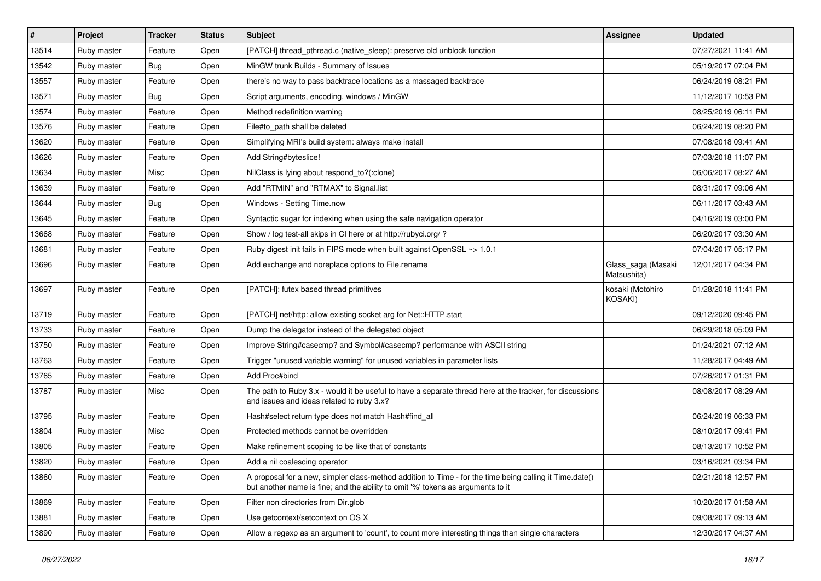| #     | Project     | <b>Tracker</b> | <b>Status</b> | Subject                                                                                                                                                                                    | Assignee                          | <b>Updated</b>      |
|-------|-------------|----------------|---------------|--------------------------------------------------------------------------------------------------------------------------------------------------------------------------------------------|-----------------------------------|---------------------|
| 13514 | Ruby master | Feature        | Open          | [PATCH] thread_pthread.c (native_sleep): preserve old unblock function                                                                                                                     |                                   | 07/27/2021 11:41 AM |
| 13542 | Ruby master | Bug            | Open          | MinGW trunk Builds - Summary of Issues                                                                                                                                                     |                                   | 05/19/2017 07:04 PM |
| 13557 | Ruby master | Feature        | Open          | there's no way to pass backtrace locations as a massaged backtrace                                                                                                                         |                                   | 06/24/2019 08:21 PM |
| 13571 | Ruby master | Bug            | Open          | Script arguments, encoding, windows / MinGW                                                                                                                                                |                                   | 11/12/2017 10:53 PM |
| 13574 | Ruby master | Feature        | Open          | Method redefinition warning                                                                                                                                                                |                                   | 08/25/2019 06:11 PM |
| 13576 | Ruby master | Feature        | Open          | File#to path shall be deleted                                                                                                                                                              |                                   | 06/24/2019 08:20 PM |
| 13620 | Ruby master | Feature        | Open          | Simplifying MRI's build system: always make install                                                                                                                                        |                                   | 07/08/2018 09:41 AM |
| 13626 | Ruby master | Feature        | Open          | Add String#byteslice!                                                                                                                                                                      |                                   | 07/03/2018 11:07 PM |
| 13634 | Ruby master | Misc           | Open          | NilClass is lying about respond_to?(:clone)                                                                                                                                                |                                   | 06/06/2017 08:27 AM |
| 13639 | Ruby master | Feature        | Open          | Add "RTMIN" and "RTMAX" to Signal.list                                                                                                                                                     |                                   | 08/31/2017 09:06 AM |
| 13644 | Ruby master | <b>Bug</b>     | Open          | Windows - Setting Time.now                                                                                                                                                                 |                                   | 06/11/2017 03:43 AM |
| 13645 | Ruby master | Feature        | Open          | Syntactic sugar for indexing when using the safe navigation operator                                                                                                                       |                                   | 04/16/2019 03:00 PM |
| 13668 | Ruby master | Feature        | Open          | Show / log test-all skips in CI here or at http://rubyci.org/?                                                                                                                             |                                   | 06/20/2017 03:30 AM |
| 13681 | Ruby master | Feature        | Open          | Ruby digest init fails in FIPS mode when built against OpenSSL ~> 1.0.1                                                                                                                    |                                   | 07/04/2017 05:17 PM |
| 13696 | Ruby master | Feature        | Open          | Add exchange and noreplace options to File.rename                                                                                                                                          | Glass_saga (Masaki<br>Matsushita) | 12/01/2017 04:34 PM |
| 13697 | Ruby master | Feature        | Open          | [PATCH]: futex based thread primitives                                                                                                                                                     | kosaki (Motohiro<br>KOSAKI)       | 01/28/2018 11:41 PM |
| 13719 | Ruby master | Feature        | Open          | [PATCH] net/http: allow existing socket arg for Net::HTTP.start                                                                                                                            |                                   | 09/12/2020 09:45 PM |
| 13733 | Ruby master | Feature        | Open          | Dump the delegator instead of the delegated object                                                                                                                                         |                                   | 06/29/2018 05:09 PM |
| 13750 | Ruby master | Feature        | Open          | Improve String#casecmp? and Symbol#casecmp? performance with ASCII string                                                                                                                  |                                   | 01/24/2021 07:12 AM |
| 13763 | Ruby master | Feature        | Open          | Trigger "unused variable warning" for unused variables in parameter lists                                                                                                                  |                                   | 11/28/2017 04:49 AM |
| 13765 | Ruby master | Feature        | Open          | Add Proc#bind                                                                                                                                                                              |                                   | 07/26/2017 01:31 PM |
| 13787 | Ruby master | Misc           | Open          | The path to Ruby 3.x - would it be useful to have a separate thread here at the tracker, for discussions<br>and issues and ideas related to ruby 3.x?                                      |                                   | 08/08/2017 08:29 AM |
| 13795 | Ruby master | Feature        | Open          | Hash#select return type does not match Hash#find_all                                                                                                                                       |                                   | 06/24/2019 06:33 PM |
| 13804 | Ruby master | Misc           | Open          | Protected methods cannot be overridden                                                                                                                                                     |                                   | 08/10/2017 09:41 PM |
| 13805 | Ruby master | Feature        | Open          | Make refinement scoping to be like that of constants                                                                                                                                       |                                   | 08/13/2017 10:52 PM |
| 13820 | Ruby master | Feature        | Open          | Add a nil coalescing operator                                                                                                                                                              |                                   | 03/16/2021 03:34 PM |
| 13860 | Ruby master | Feature        | Open          | A proposal for a new, simpler class-method addition to Time - for the time being calling it Time.date()<br>but another name is fine; and the ability to omit '%' tokens as arguments to it |                                   | 02/21/2018 12:57 PM |
| 13869 | Ruby master | Feature        | Open          | Filter non directories from Dir.glob                                                                                                                                                       |                                   | 10/20/2017 01:58 AM |
| 13881 | Ruby master | Feature        | Open          | Use getcontext/setcontext on OS X                                                                                                                                                          |                                   | 09/08/2017 09:13 AM |
| 13890 | Ruby master | Feature        | Open          | Allow a regexp as an argument to 'count', to count more interesting things than single characters                                                                                          |                                   | 12/30/2017 04:37 AM |